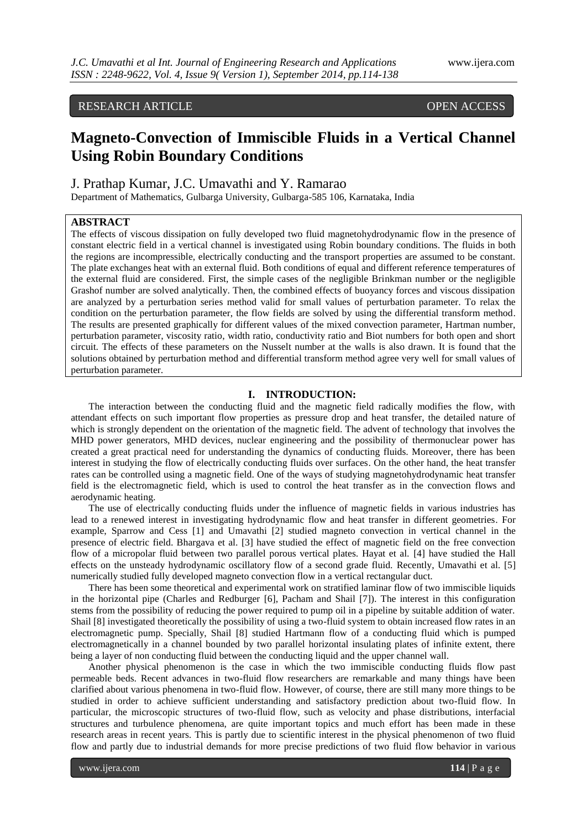# RESEARCH ARTICLE OPEN ACCESS

# **Magneto-Convection of Immiscible Fluids in a Vertical Channel Using Robin Boundary Conditions**

# J. Prathap Kumar, J.C. Umavathi and Y. Ramarao

Department of Mathematics, Gulbarga University, Gulbarga-585 106, Karnataka, India

# **ABSTRACT**

The effects of viscous dissipation on fully developed two fluid magnetohydrodynamic flow in the presence of constant electric field in a vertical channel is investigated using Robin boundary conditions. The fluids in both the regions are incompressible, electrically conducting and the transport properties are assumed to be constant. The plate exchanges heat with an external fluid. Both conditions of equal and different reference temperatures of the external fluid are considered. First, the simple cases of the negligible Brinkman number or the negligible Grashof number are solved analytically. Then, the combined effects of buoyancy forces and viscous dissipation are analyzed by a perturbation series method valid for small values of perturbation parameter. To relax the condition on the perturbation parameter, the flow fields are solved by using the differential transform method. The results are presented graphically for different values of the mixed convection parameter, Hartman number, perturbation parameter, viscosity ratio, width ratio, conductivity ratio and Biot numbers for both open and short circuit. The effects of these parameters on the Nusselt number at the walls is also drawn. It is found that the solutions obtained by perturbation method and differential transform method agree very well for small values of perturbation parameter.

# **I. INTRODUCTION:**

The interaction between the conducting fluid and the magnetic field radically modifies the flow, with attendant effects on such important flow properties as pressure drop and heat transfer, the detailed nature of which is strongly dependent on the orientation of the magnetic field. The advent of technology that involves the MHD power generators, MHD devices, nuclear engineering and the possibility of thermonuclear power has created a great practical need for understanding the dynamics of conducting fluids. Moreover, there has been interest in studying the flow of electrically conducting fluids over surfaces. On the other hand, the heat transfer rates can be controlled using a magnetic field. One of the ways of studying magnetohydrodynamic heat transfer field is the electromagnetic field, which is used to control the heat transfer as in the convection flows and aerodynamic heating.

The use of electrically conducting fluids under the influence of magnetic fields in various industries has lead to a renewed interest in investigating hydrodynamic flow and heat transfer in different geometries. For example, Sparrow and Cess [1] and Umavathi [2] studied magneto convection in vertical channel in the presence of electric field. Bhargava et al. [3] have studied the effect of magnetic field on the free convection flow of a micropolar fluid between two parallel porous vertical plates. Hayat et al. [4] have studied the Hall effects on the unsteady hydrodynamic oscillatory flow of a second grade fluid. Recently, Umavathi et al. [5] numerically studied fully developed magneto convection flow in a vertical rectangular duct.

There has been some theoretical and experimental work on stratified laminar flow of two immiscible liquids in the horizontal pipe (Charles and Redburger [6], Pacham and Shail [7]). The interest in this configuration stems from the possibility of reducing the power required to pump oil in a pipeline by suitable addition of water. Shail [8] investigated theoretically the possibility of using a two-fluid system to obtain increased flow rates in an electromagnetic pump. Specially, Shail [8] studied Hartmann flow of a conducting fluid which is pumped electromagnetically in a channel bounded by two parallel horizontal insulating plates of infinite extent, there being a layer of non conducting fluid between the conducting liquid and the upper channel wall.

Another physical phenomenon is the case in which the two immiscible conducting fluids flow past permeable beds. Recent advances in two-fluid flow researchers are remarkable and many things have been clarified about various phenomena in two-fluid flow. However, of course, there are still many more things to be studied in order to achieve sufficient understanding and satisfactory prediction about two-fluid flow. In particular, the microscopic structures of two-fluid flow, such as velocity and phase distributions, interfacial structures and turbulence phenomena, are quite important topics and much effort has been made in these research areas in recent years. This is partly due to scientific interest in the physical phenomenon of two fluid flow and partly due to industrial demands for more precise predictions of two fluid flow behavior in various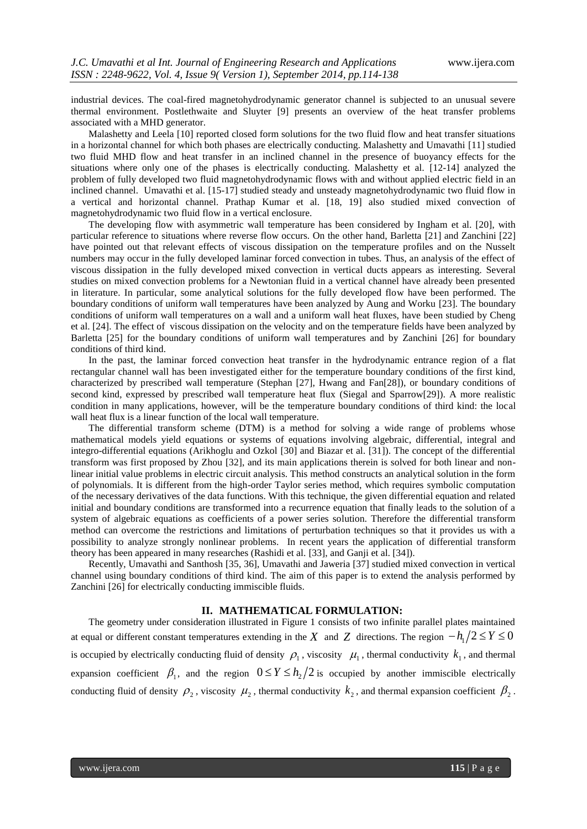industrial devices. The coal-fired magnetohydrodynamic generator channel is subjected to an unusual severe thermal environment. Postlethwaite and Sluyter [9] presents an overview of the heat transfer problems associated with a MHD generator.

Malashetty and Leela [10] reported closed form solutions for the two fluid flow and heat transfer situations in a horizontal channel for which both phases are electrically conducting. Malashetty and Umavathi [11] studied two fluid MHD flow and heat transfer in an inclined channel in the presence of buoyancy effects for the situations where only one of the phases is electrically conducting. Malashetty et al. [12-14] analyzed the problem of fully developed two fluid magnetohydrodynamic flows with and without applied electric field in an inclined channel. Umavathi et al. [15-17] studied steady and unsteady magnetohydrodynamic two fluid flow in a vertical and horizontal channel. Prathap Kumar et al. [18, 19] also studied mixed convection of magnetohydrodynamic two fluid flow in a vertical enclosure.

The developing flow with asymmetric wall temperature has been considered by Ingham et al. [20], with particular reference to situations where reverse flow occurs. On the other hand, Barletta [21] and Zanchini [22] have pointed out that relevant effects of viscous dissipation on the temperature profiles and on the Nusselt numbers may occur in the fully developed laminar forced convection in tubes. Thus, an analysis of the effect of viscous dissipation in the fully developed mixed convection in vertical ducts appears as interesting. Several studies on mixed convection problems for a Newtonian fluid in a vertical channel have already been presented in literature. In particular, some analytical solutions for the fully developed flow have been performed. The boundary conditions of uniform wall temperatures have been analyzed by Aung and Worku [23]. The boundary conditions of uniform wall temperatures on a wall and a uniform wall heat fluxes, have been studied by Cheng et al. [24]. The effect of viscous dissipation on the velocity and on the temperature fields have been analyzed by Barletta [25] for the boundary conditions of uniform wall temperatures and by Zanchini [26] for boundary conditions of third kind.

In the past, the laminar forced convection heat transfer in the hydrodynamic entrance region of a flat rectangular channel wall has been investigated either for the temperature boundary conditions of the first kind, characterized by prescribed wall temperature (Stephan [27], Hwang and Fan[28]), or boundary conditions of second kind, expressed by prescribed wall temperature heat flux (Siegal and Sparrow[29]). A more realistic condition in many applications, however, will be the temperature boundary conditions of third kind: the local wall heat flux is a linear function of the local wall temperature.

The differential transform scheme (DTM) is a method for solving a wide range of problems whose mathematical models yield equations or systems of equations involving algebraic, differential, integral and integro-differential equations (Arikhoglu and Ozkol [30] and Biazar et al. [31]). The concept of the differential transform was first proposed by Zhou [32], and its main applications therein is solved for both linear and nonlinear initial value problems in electric circuit analysis. This method constructs an analytical solution in the form of polynomials. It is different from the high-order Taylor series method, which requires symbolic computation of the necessary derivatives of the data functions. With this technique, the given differential equation and related initial and boundary conditions are transformed into a recurrence equation that finally leads to the solution of a system of algebraic equations as coefficients of a power series solution. Therefore the differential transform method can overcome the restrictions and limitations of perturbation techniques so that it provides us with a possibility to analyze strongly nonlinear problems. In recent years the application of differential transform theory has been appeared in many researches (Rashidi et al. [33], and Ganji et al. [34]).

Recently, Umavathi and Santhosh [35, 36], Umavathi and Jaweria [37] studied mixed convection in vertical channel using boundary conditions of third kind. The aim of this paper is to extend the analysis performed by Zanchini [26] for electrically conducting immiscible fluids.

#### **II. MATHEMATICAL FORMULATION:**

The geometry under consideration illustrated in Figure 1 consists of two infinite parallel plates maintained at equal or different constant temperatures extending in the  $X$  and  $Z$  directions. The region  $-h_1/2 \le Y \le 0$ is occupied by electrically conducting fluid of density  $\rho_1$ , viscosity  $\mu_1$ , thermal conductivity  $k_1$ , and thermal expansion coefficient  $\beta_1$ , and the region  $0 \le Y \le h_2/2$  is occupied by another immiscible electrically conducting fluid of density  $\rho_2$ , viscosity  $\mu_2$ , thermal conductivity  $k_2$ , and thermal expansion coefficient  $\beta_2$ .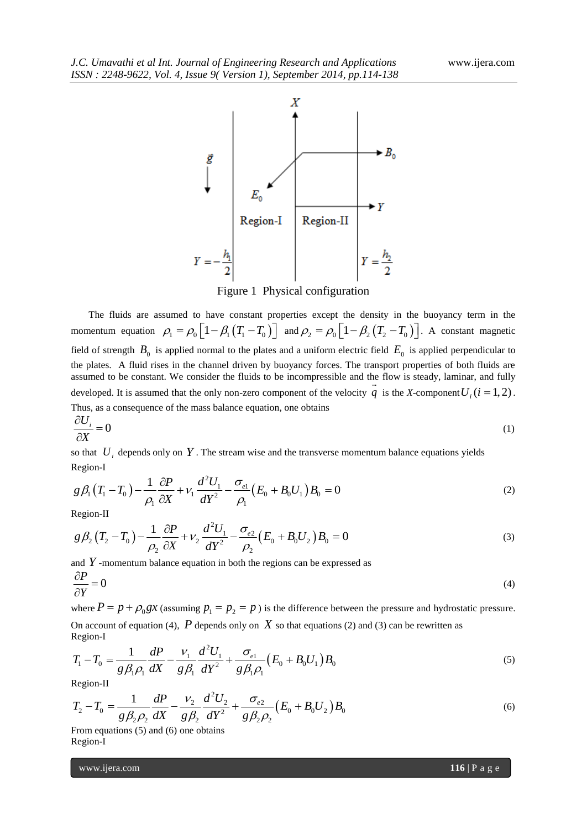

Figure 1 Physical configuration

The fluids are assumed to have constant properties except the density in the buoyancy term in the momentum equation  $\rho_1 = \rho_0 \left[1 - \beta_1 (T_1 - T_0) \right]$  and  $\rho_2 = \rho_0 \left[1 - \beta_2 (T_2 - T_0) \right]$ . A constant magnetic field of strength  $B_0$  is applied normal to the plates and a uniform electric field  $E_0$  is applied perpendicular to the plates. A fluid rises in the channel driven by buoyancy forces. The transport properties of both fluids are assumed to be constant. We consider the fluids to be incompressible and the flow is steady, laminar, and fully developed. It is assumed that the only non-zero component of the velocity  $q$  is the *X*-component  $U_i$  ( $i = 1, 2$ ). Thus, as a consequence of the mass balance equation, one obtains

$$
\frac{\partial U_i}{\partial X} = 0 \tag{1}
$$

so that  $U_i$  depends only on Y. The stream wise and the transverse momentum balance equations yields<br>  $g \beta_i (T_i - T_0) - \frac{1}{i} \frac{\partial P}{\partial t} + V_i \frac{d^2 U_i}{d\partial t} - \frac{\sigma_{el}}{i} (E_0 + B_0 U_1) B_0 = 0$ Region-I

Region-I  
\n
$$
g\beta_1(T_1 - T_0) - \frac{1}{\rho_1} \frac{\partial P}{\partial X} + v_1 \frac{d^2 U_1}{dY^2} - \frac{\sigma_{el}}{\rho_1} (E_0 + B_0 U_1) B_0 = 0
$$
\n(2)

Region-II

$$
\begin{array}{lll}\n\text{Region-II} & & \rho_1 \, \partial X & & dY^2 & \rho_1 & & & \\
\text{Region-II} & & & & & \\
\mathcal{B}\beta_2 \left(T_2 - T_0\right) - \frac{1}{\rho_2} \frac{\partial P}{\partial X} + \nu_2 \frac{d^2 U_1}{dY^2} - \frac{\sigma_{e2}}{\rho_2} \left(E_0 + B_0 U_2\right) B_0 = 0\n\end{array} \tag{3}
$$

and  $Y$ -momentum balance equation in both the regions can be expressed as

$$
\frac{\partial P}{\partial Y} = 0\tag{4}
$$

where  $P = p + \rho_0 gx$   $\alpha$ ssuming  $p_1 = p_2 = p$  is the difference between the pressure and hydrostatic pressure. Region-I

On account of equation (4), *P* depends only on *X* so that equations (2) and (3) can be rewritten as  
\nRegion-I  
\n
$$
T_1 - T_0 = \frac{1}{g \beta_1 \rho_1} \frac{dP}{dX} - \frac{v_1}{g \beta_1} \frac{d^2 U_1}{dY^2} + \frac{\sigma_{el}}{g \beta_1 \rho_1} (E_0 + B_0 U_1) B_0
$$
\n(5)

Region-II

$$
g\beta_1 \rho_1 dX \quad g\beta_1 dY^2 \quad g\beta_1 \rho_1 \quad \text{(9)}
$$
\n
$$
\text{Region-II}
$$
\n
$$
T_2 - T_0 = \frac{1}{g\beta_2 \rho_2} \frac{dP}{dX} - \frac{V_2}{g\beta_2} \frac{d^2 U_2}{dY^2} + \frac{\sigma_{e2}}{g\beta_2 \rho_2} (E_0 + B_0 U_2) B_0
$$
\n
$$
\text{(6)}
$$

From equations (5) and (6) one obtains Region-I

www.ijera.com **116** | P a g e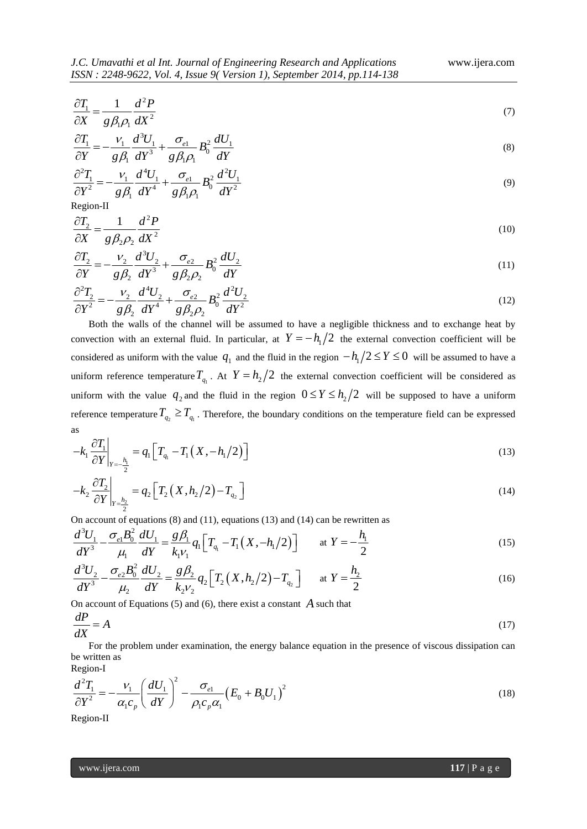$$
\frac{\partial T_1}{\partial X} = \frac{1}{g \beta_1 \rho_1} \frac{d^2 P}{dX^2}
$$
\n<sup>(7)</sup>

$$
\frac{\partial T_1}{\partial Y} = -\frac{V_1}{g\beta_1} \frac{d^3 U_1}{dY^3} + \frac{\sigma_{e1}}{g\beta_1 \rho_1} B_0^2 \frac{dU_1}{dY}
$$
\n(8)

or 
$$
g\rho_1
$$
 ar  $g\rho_1\rho_1$  ar  
\n
$$
\frac{\partial^2 T_1}{\partial Y^2} = -\frac{v_1}{g\rho_1} \frac{d^4 U_1}{dY^4} + \frac{\sigma_{e1}}{g\rho_1\rho_1} B_0^2 \frac{d^2 U_1}{dY^2}
$$
\n(9)

Region-II

$$
\frac{\partial T_2}{\partial X} = \frac{1}{g\beta_2\rho_2} \frac{d^2P}{dX^2}
$$
\n(10)

$$
\frac{\partial T_2}{\partial Y} = -\frac{V_2}{g\beta_2} \frac{d^3 U_2}{dY^3} + \frac{\sigma_{e2}}{g\beta_2 \rho_2} B_0^2 \frac{dU_2}{dY}
$$
\n(11)

$$
\frac{\partial^2 T_2}{\partial Y^2} = -\frac{v_2}{g\beta_2}\frac{d^4 U_2}{dY^4} + \frac{\sigma_{e2}}{g\beta_2 \rho_2}B_0^2\frac{d^2 U_2}{dY^2}
$$
\n(12)

 $\frac{W_1}{X'} = \frac{1}{g(R)} \frac{d^2 P}{dR^2} + \frac{g}{g(R)} \frac{d^2 V_1}{dR^2} + \frac{g}{g(R)} \frac{d^2 V_1}{dR^2} + \frac{g}{g(R)} \frac{d^2 V_1}{dR^2}$ <br>  $\frac{W_1}{Z'} = \frac{V_1}{g(R)} \frac{d^2 V_1}{dR^2} + \frac{g}{g(R)} \frac{d^2 V_1}{dR^2}$ <br>  $\frac{W_2}{g(R)} = \frac{1}{g(R)} \frac{d^2 V_1}{dR^2} + \frac{g}{g(R)} \frac{d^2 V$ Both the walls of the channel will be assumed to have a negligible thickness and to exchange heat by convection with an external fluid. In particular, at  $Y = -h_1/2$  the external convection coefficient will be considered as uniform with the value  $q_1$  and the fluid in the region  $-h_1/2 \le Y \le 0$  will be assumed to have a uniform reference temperature  $T_{q_1}$ . At  $Y = h_2/2$  the external convection coefficient will be considered as uniform with the value  $q_2$  and the fluid in the region  $0 \le Y \le h_2/2$  will be supposed to have a uniform reference temperature  $T_{q_2} \ge T_{q_1}$ . Therefore, the boundary conditions on the temperature field can be expressed as

as  

$$
-k_1 \frac{\partial T_1}{\partial Y}\bigg|_{Y=-\frac{h_1}{2}} = q_1 \Big[ T_{q_1} - T_1 (X, -h_1/2) \Big]
$$
(13)

$$
-k_2 \frac{\partial T_2}{\partial Y}\bigg|_{Y=\frac{h_2}{2}} = q_2 \Big[ T_2 \left( X, h_2/2 \right) - T_{q_2} \Big]
$$
\n(14)

On account of equations (8) and (11), equations (13) and (14) can be rewritten as  
\n
$$
\frac{d^3U_1}{dY^3} - \frac{\sigma_{e1}B_0^2}{\mu_1} \frac{dU_1}{dY} = \frac{g\beta_1}{k_1v_1} q_1 \left[ T_{q_1} - T_1(X, -h_1/2) \right] \quad \text{at } Y = -\frac{h_1}{2}
$$
\n(15)  
\n
$$
\frac{d^3U_2}{dY^3} - \frac{\sigma_{e2}B_0^2}{dY_{2}} \frac{dU_2}{dY_2} = \frac{g\beta_2}{dY_{2}} q_2 \left[ T_2(X, h_1/2) - T_1 \right] \quad \text{at } Y = \frac{h_2}{2}
$$

$$
\frac{d^2V_2}{dY^3} - \frac{\sigma_{e2}B_0^2}{\mu_2} \frac{dU_2}{dY} = \frac{g\beta_2}{k_2V_2} q_2 \Big[ T_2(X, h_2/2) - T_{q_2} \Big] \quad \text{at } Y = \frac{h_2}{2}
$$
\n(16)

On account of Equations  $(5)$  and  $(6)$ , there exist a constant  $A$  such that

$$
\frac{dP}{dX} = A \tag{17}
$$

For the problem under examination, the energy balance equation in the presence of viscous dissipation can be written as

Region-I

Region-I  
\n
$$
\frac{d^2T_1}{\partial Y^2} = -\frac{V_1}{\alpha_1 c_p} \left(\frac{dU_1}{dY}\right)^2 - \frac{\sigma_{e1}}{\rho_1 c_p \alpha_1} \left(E_0 + B_0 U_1\right)^2
$$
\n(18)

Region-II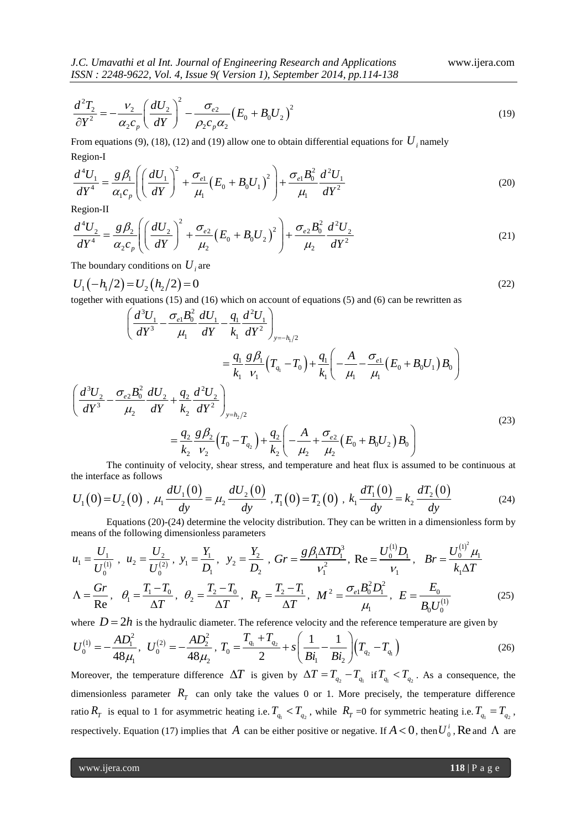$$
\frac{d^2T_2}{\partial Y^2} = -\frac{v_2}{\alpha_2 c_p} \left(\frac{dU_2}{dY}\right)^2 - \frac{\sigma_{e2}}{\rho_2 c_p \alpha_2} \left(E_0 + B_0 U_2\right)^2\tag{19}
$$

From equations (9), (18), (12) and (19) allow one to obtain differential equations for  $U_i$  namely<br>
Region-I<br>  $\frac{d^4U_1}{dt^4} = \frac{g\beta_1}{2} \left[ \left(\frac{dU_1}{dU_1}\right)^2 + \frac{\sigma_{e1}}{2} \left(E_0 + B_0 U_1\right)^2 + \frac{\sigma_{e1}B_0^2}{2} \frac{d^2U_1}{dt^2} \right]$ Region-I

Region-I  
\n
$$
\frac{d^4U_1}{dY^4} = \frac{g\beta_1}{\alpha_1c_p} \left( \left( \frac{dU_1}{dY} \right)^2 + \frac{\sigma_{e1}}{\mu_1} \left( E_0 + B_0 U_1 \right)^2 \right) + \frac{\sigma_{e1}B_0^2}{\mu_1} \frac{d^2U_1}{dY^2}
$$
\n(20)

Region-II

$$
dY = \alpha_1 c_p \left( \left( dY \right) - \mu_1 \right) + \mu_1 dY^2
$$
  
\nRegion-II  
\n
$$
\frac{d^4 U_2}{dY^4} = \frac{g \beta_2}{\alpha_2 c_p} \left( \left( \frac{dU_2}{dY} \right)^2 + \frac{\sigma_{e2}}{\mu_2} \left( E_0 + B_0 U_2 \right)^2 \right) + \frac{\sigma_{e2} B_0^2}{\mu_2} \frac{d^2 U_2}{dY^2}
$$
\n(21)

The boundary conditions on  $U_i$  are

$$
U_1(-h_1/2) = U_2(h_2/2) = 0
$$
\ntogether with equations (15) and (16) which on account of equations (5) and (6) can be rewritten as\n
$$
\left(\frac{d^3U_1}{W^3} - \frac{\sigma_{e1}B_0^2}{W} \frac{dU_1}{W} - \frac{q_1}{W} \frac{d^2U_1}{W^2}\right)
$$
\n(22)

$$
U_{1}(-h_{1}/2) = U_{2}(h_{2}/2) = 0
$$
\n
$$
U_{2}(h_{2}/2) = 0
$$
\n
$$
U_{3}(h_{1}/2) = U_{2}(h_{2}/2) = 0
$$
\n
$$
U_{3}(h_{2}/2) = 0
$$
\n
$$
U_{4}(h_{3}/2) = 0
$$
\n
$$
U_{5}(h_{2}/2) = 0
$$
\n
$$
U_{6}(h_{1}/2) = 0
$$
\n
$$
U_{7}(h_{1}/2) = 0
$$
\n
$$
U_{8}(h_{1}/2) = 0
$$
\n
$$
U_{9}(h_{1}/2) = 0
$$
\n
$$
U_{1}(h_{1}/2) = 0
$$
\n
$$
U_{1}(h_{1}/2) = \frac{\sigma_{e1}B_{0}^{2}}{\mu_{1}} \frac{dU_{1}}{dY} - \frac{q_{1}}{k_{1}} \frac{d^{2}U_{1}}{dY^{2}}
$$
\n
$$
= \frac{q_{1}}{k_{1}} \frac{g \beta_{1}}{V_{1}} \left( T_{q_{1}} - T_{0} \right) + \frac{q_{1}}{k_{1}} \left( -\frac{A}{\mu_{1}} - \frac{\sigma_{e1}}{\mu_{1}} \left( E_{0} + B_{0}U_{1} \right) B_{0} \right)
$$
\n
$$
U_{1}(h_{1}/2) = \frac{\sigma_{e2}B_{0}^{2}}{\mu_{2}} \frac{dU_{2}}{dY} + \frac{q_{2}}{k_{2}} \frac{d^{2}U_{2}}{dY^{2}}
$$
\n
$$
= \frac{q_{2}}{k_{2}} \frac{g \beta_{2}}{V_{2}} \left( T_{0} - T_{q_{2}} \right) + \frac{q_{2}}{k_{2}} \left( -\frac{A}{\mu_{2}} + \frac{\sigma_{e2}}{\mu_{2}} \left( E_{0} + B_{0}U_{2} \right) B_{0} \right)
$$
\nThe continuity of velocity shear stress and temperature and heat flux is assumed to be continuous at

The continuity of velocity, shear stress, and temperature and heat flux is assumed to be continuous at the interface as follows

$$
U_1(0) = U_2(0), \mu_1 \frac{dU_1(0)}{dy} = \mu_2 \frac{dU_2(0)}{dy}, T_1(0) = T_2(0), k_1 \frac{dT_1(0)}{dy} = k_2 \frac{dT_2(0)}{dy}
$$
(24)

Equations (20)-(24) determine the velocity distribution. They can be written in a dimensionless form by means of the following dimensionless parameters

$$
u_1 = \frac{U_1}{U_0^{(1)}}, \quad u_2 = \frac{U_2}{U_0^{(2)}}, \quad y_1 = \frac{Y_1}{D_1}, \quad y_2 = \frac{Y_2}{D_2}, \quad Gr = \frac{g\beta_1 \Delta TD_1^3}{V_1^2}, \quad \text{Re} = \frac{U_0^{(1)} D_1}{V_1}, \quad Br = \frac{U_0^{(1)^2} \mu_1}{k_1 \Delta T}
$$
\n
$$
\Lambda = \frac{Gr}{Re}, \quad \theta_1 = \frac{T_1 - T_0}{\Delta T}, \quad \theta_2 = \frac{T_2 - T_0}{\Delta T}, \quad R_T = \frac{T_2 - T_1}{\Delta T}, \quad M^2 = \frac{\sigma_e B_0^2 D_1^2}{\mu_1}, \quad E = \frac{E_0}{B_0 U_0^{(1)}} \tag{25}
$$

where 
$$
D = 2h
$$
 is the hydraulic diameter. The reference velocity and the reference temperature are given by  
\n
$$
U_0^{(1)} = -\frac{AD_1^2}{48\mu_1}, U_0^{(2)} = -\frac{AD_2^2}{48\mu_2}, T_0 = \frac{T_{q_1} + T_{q_2}}{2} + s\left(\frac{1}{Bi_1} - \frac{1}{Bi_2}\right) (T_{q_2} - T_{q_1})
$$
\n(26)

Moreover, the temperature difference  $\Delta T$  is given by  $\Delta T = T_{q_2} - T_{q_1}$  if  $T_{q_1} < T_{q_2}$ . As a consequence, the dimensionless parameter  $R_T$  can only take the values 0 or 1. More precisely, the temperature difference ratio  $R_T$  is equal to 1 for asymmetric heating i.e.  $T_{q_1} < T_{q_2}$ , while  $R_T = 0$  for symmetric heating i.e.  $T_{q_1} = T_{q_2}$ , respectively. Equation (17) implies that A can be either positive or negative. If  $A < 0$ , then  $U_0^i$ , Re and  $\Lambda$  are

www.ijera.com **118** | P a g e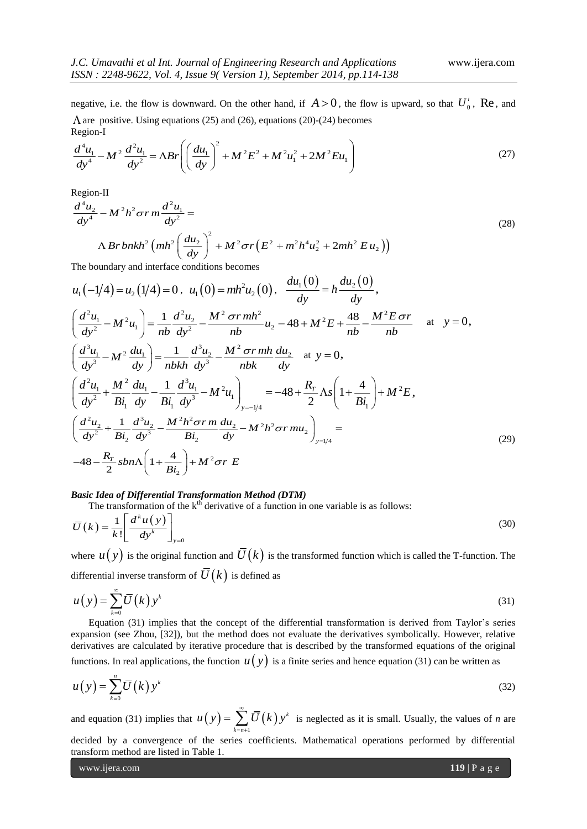negative, i.e. the flow is downward. On the other hand, if  $A > 0$ , the flow is upward, so that  $U_0^i$ , Re, and

$$
\Lambda \text{ are positive. Using equations (25) and (26), equations (20)-(24) becomes}
$$
  
Region-I  

$$
\frac{d^4 u_1}{dy^4} - M^2 \frac{d^2 u_1}{dy^2} = \Lambda Br \left( \left( \frac{du_1}{dy} \right)^2 + M^2 E^2 + M^2 u_1^2 + 2M^2 E u_1 \right)
$$
(27)

Region-II

$$
\begin{aligned}\n\text{Region-II} & \qquad \qquad \text{(a)} \\
\frac{d^4 u_2}{dy^4} - M^2 h^2 \sigma r \, m \frac{d^2 u_1}{dy^2} = \\
& \qquad \qquad \text{A } Br \, b n k h^2 \left( m h^2 \left( \frac{d u_2}{dy} \right)^2 + M^2 \sigma r \left( E^2 + m^2 h^4 u_2^2 + 2m h^2 E u_2 \right) \right)\n\end{aligned}\n\tag{28}
$$
\nThe boundary and interface conditions becomes

 $u_1(-1/4) = u_2(1/4) = 0$ ,  $u_1(0) = mh^2u_2(0)$ ,  $\frac{du_1(0)}{dy} = h \frac{du_2(0)}{dy},$  $\begin{aligned} u_1(-1/4) &= u_2(1/4) = 0 \,, \ u_1(0) &= m h^2 u_2(0) \,, \ \frac{du_1(0)}{dy} &= h \frac{du_2(0)}{dy} \,, \\ \frac{d^2 u_1}{dy^2} &- M^2 u_1 \bigg) &= \frac{1}{n b} \frac{d^2 u_2}{dy^2} - \frac{M^2 \sigma r m h^2}{n b} u_2 - 48 + M^2 E + \frac{48}{n b} - \frac{M^2 E \sigma r}{n b} \end{aligned}$  $u_1(-1/4) = u_2(1/4) = 0$ ,  $u_1(0) = mh^2u_2(0)$ ,  $\frac{du_1(0)}{dy} = h\frac{du_2(0)}{dy}$ ,<br>  $\left(\frac{d^2u_1}{dy^2} - M^2u_1\right) = \frac{1}{nb}\frac{d^2u_2}{dy^2} - \frac{M^2 \sigma r mh^2}{nb}u_2 - 48 + M^2E + \frac{48}{nb} - \frac{M^2E \sigma r}{nb}$  at  $y =$  $u_1(-1/4) - u_2(1/4) - 0$ ,  $u_1(0) - m \frac{u_2(0)}{u_2}$ ,  $\frac{dy}{dy} - n \frac{dy}{dy}$ ,<br> $\left(\frac{d^2 u_1}{dy^2} - M^2 u_1\right) = \frac{1}{nb} \frac{d^2 u_2}{dy^2} - \frac{M^2 \sigma r m h^2}{nb} u_2 - 48 + M^2 E + \frac{48}{nb} - \frac{M^2 E \sigma r}{nb}$ at  $y = 0$ ,  $\left(\frac{dy^2}{dy^2} - M \right)^2 \left(\frac{du_1}{dv}\right) = \frac{1}{nb} \left(\frac{d^3u_2}{dv^3} - M^2 \frac{du_1}{dv^3}\right) = \frac{1}{nbkh} \frac{d^3u_2}{dv^3} - \frac{M^2 \sigma r m h}{nbk} \frac{du_2}{dv^3}$  $\left(\frac{d^3 u_1}{dy^3} - M^2 \frac{du_1}{dy}\right) = \frac{1}{nbkh} \frac{d^3 u_2}{dy^3} - \frac{M^2 \sigma r mh}{nbk} \frac{du_2}{dy}$  $\left(\frac{dy^2}{dy^2} - M \frac{u_1}{u_1}\right) = \frac{1}{nb} \frac{dy^2}{dy^2} - \frac{1}{nb}$ <br> $\left(\frac{d^3u_1}{dy^3} - M^2 \frac{du_1}{dy}\right) = \frac{1}{nbkh} \frac{d^3u_2}{dy^3} - \frac{M^2 \sigma^2}{nbh}$  $\left(\frac{d^3u_1}{dy^3} - M^2\frac{du_1}{dy}\right) = \frac{1}{nbkk}$  $\left(\frac{d^3 u_1}{dy^3} - M^2 \frac{du_1}{dy}\right) = \frac{1}{nbkh} \frac{d^3 u_2}{dy^3} - \frac{M^2 \sigma r mh}{nbk} \frac{du_2}{dy}$  at  $y = 0$ ,<br>  $\frac{d^2 u_1}{dx^2} + \frac{M^2}{R} \frac{du_1}{dx^3} - \frac{1}{R^2} \frac{d^3 u_1}{dx^3} - M^2 u_1$  = -48 +  $\frac{R_r}{R} \Delta s$  1  $\frac{2u_1}{y^3} - M \frac{dy}{dy} = \frac{2}{n b k h} \frac{dy}{dy} - \frac{1}{n b k} \frac{d^3 u_1}{dy^3} - \frac{1}{n b k} \frac{dy}{dy}$  as  $y = 0$ ,<br> $\frac{2u_1}{y^3} + \frac{M^2}{x^2} \frac{du_1}{dx} - \frac{1}{x^3} \frac{d^3 u_1}{dx^3} - M^2 u_1 = -48 + \frac{R_T}{x} \Lambda s \left(1 + \frac{4}{x^3}\right) + M^2 u_1$  $rac{u_1}{2} + \frac{M^2}{Bi_1} \frac{du_1}{dy} - \frac{1}{Bi_1} \frac{d^3 u_1}{dy^3} - M^2 u_1$  $\frac{1}{2} \frac{du_1}{dy} - \frac{1}{Bi_1} \frac{d^3 u_1}{dy^3} - M^2 u_1 \Big]_{y=-1/4} = -48 + \frac{R_r}{2} \Lambda s \Bigg( 1 + \frac{4}{Bi_1} \Bigg)$  $rac{1}{nbkh} \frac{d^3 u_2}{dy^3} - \frac{M^2 \sigma r mh}{nbk} \frac{du_2}{dy}$  at  $y = 0$ ,<br>  $rac{1}{3i_1} \frac{d^3 u_1}{dy^3} - M^2 u_1$ <br>  $= -48 + \frac{R_r}{2} \Lambda s \left(1 + \frac{4}{Bi}\right)$ *T*  $\left(\frac{y_2 - M^2 G F m n}{n b k}\right)$  at  $y = 0$ ,<br>  $M^2 u_1\Big|_{y=-1/4} = -48 + \frac{R_T}{2} \Lambda s \left(1 + \frac{4}{B i_1}\right) + M^2 E$  $\left(\frac{d^3u_1}{dy^3} - M^2 \frac{du_1}{dy}\right) = \frac{1}{nbkh} \frac{d^3u_2}{dy^3} - \frac{M^2 \sigma r mh}{nbk} \frac{du_2}{dy}$  at  $y = 0$ ,<br>  $\left(\frac{d^2u_1}{dy^2} + \frac{M^2}{Bi_1} \frac{du_1}{dy} - \frac{1}{Bi_1} \frac{d^3u_1}{dy^3} - M^2u_1\right)_{y=-1/4} = -48 + \frac{R_r}{2} \Lambda s \left(1 + \frac{4}{Bi_1}\right) + M^2E$ ,  $\left(\frac{dy^3}{dy^2} + \frac{M^2}{Bi_1} \frac{du_1}{dy} - \frac{1}{Bi_1} \frac{d^3u_1}{dy^3} - M^2u_1\right)_{y=-1/4} = -48 + \frac{R_T}{2} \Lambda s \left(1 + \frac{4}{Bi_1}\right) + M^2E,$ **,**  $y^2$   $Bl_1$  dy  $Bl_1$  dy  $\int_{y=-1/4}$  2<br>  $\frac{d^2u_2}{dy^2} + \frac{1}{Bi_2} \frac{d^3u_2}{dy^3} - \frac{M^2h^2 \sigma r m}{Bi_2} \frac{du_2}{dy} - M^2h^2 \sigma r m u_2$ <br>  $\int_{y=1/4}$ 2 2 4  $\frac{dy^2}{dy^2} + \frac{Bi_2}{Bi_2} dy^3$ <br>  $\frac{48 - \frac{R_r}{2} sbn\Lambda}{1}$  $\left(\frac{d^2 u_2}{dy^2} + \frac{1}{Bi_1} \frac{d^3 u_2}{dy^3} - \frac{M^2 h_1^2}{Bi_1} \frac{d^3 u_2}{dy^3} - M^2 u_1 \right)_{y=-1/4} = -48 + \frac{N^2}{2}$ <br>  $\left(\frac{d^2 u_2}{dy^2} + \frac{1}{Bi_2} \frac{d^3 u_2}{dy^3} - \frac{M^2 h^2 \sigma r m}{Bi_2} \frac{du_2}{dy} - M^2 h^2 \sigma r m u_2 \right)_{y}$  $\frac{1}{Bi_2}$   $\frac{1}{dy^3}$   $\frac{1}{Bi_2}$   $\frac{1}{dy}$ <br> $\frac{1}{Bi_2}$   $\frac{1}{Bi_2}$   $\frac{1}{Bi_2}$   $\frac{1}{Bi_2}$   $\frac{1}{Bi_2}$   $\frac{1}{Bi_2}$   $\frac{1}{Bi_2}$  $\frac{\sigma r m}{2} \frac{a u_2}{a} - M^2 h^2 \sigma$  $\left(\frac{d^2u_2}{dy^2} + \frac{H}{Bi_1} \frac{du_1}{dy} - \frac{1}{Bi_1} \frac{d^2u_1}{dy^3} - M^2u_1\right)_{y=-1/4} = -48 + \frac{44\pi}{2} \Lambda s \left(1 + \frac{1}{Bi_1}\right) +$ <br>  $\left(\frac{d^2u_2}{dy^2} + \frac{1}{Bi_2} \frac{d^3u_2}{dy^3} - \frac{M^2h^2 \sigma r m}{Bi_2} \frac{du_2}{dy} - M^2h^2 \sigma r m u_2\right)_{y=1/4} =$  $\left(\frac{d^2u_2}{dy^2} + \frac{1}{Bi_2}\frac{d^3u_2}{dy^3} - \frac{M^2h^2\sigma r m}{Bi_2}\frac{du_2}{dy} - M^2h^2\sigma r m u_2\right)_{y=1/4} =$  $\frac{u_2}{v^3} - \frac{M^2 h^2 \sigma r m}{B i_2} \frac{d l}{d l}$ <br> $\left(1 + \frac{4}{m}\right) + M^2 \sigma r$  $\left(\frac{dy^2}{dy^2} + \frac{B_{i_2}}{B_{i_2}} \frac{dy^3}{dy^3} - \frac{B_{i_2}}{B_{i_2}} \frac{dy}{dy}\right)$ <br>-48 -  $\frac{R_r}{2}$ sbn $\Lambda \left(1 + \frac{4}{B_{i_2}}\right) + M^2 \sigma r$  1 (29)

# *Basic Idea of Differential Transformation Method (DTM)*

The transformation of the k<sup>th</sup> derivative of a function in one variable is as follows:  
\n
$$
\overline{U}(k) = \frac{1}{k!} \left[ \frac{d^k u(y)}{dy^k} \right]_{y=0}
$$
\n(30)

where  $u(y)$  is the original function and  $\overline{U}(k)$  is the transformed function which is called the T-function. The differential inverse transform of  $\overline{U}(k)$  is defined as

$$
u(y) = \sum_{k=0}^{\infty} \overline{U}(k) y^k
$$
 (31)

Equation (31) implies that the concept of the differential transformation is derived from Taylor's series expansion (see Zhou, [32]), but the method does not evaluate the derivatives symbolically. However, relative derivatives are calculated by iterative procedure that is described by the transformed equations of the original functions. In real applications, the function  $u(y)$  is a finite series and hence equation (31) can be written as

$$
u(y) = \sum_{k=0}^{n} \overline{U}(k) y^{k}
$$
 (32)

and equation (31) implies that  $u(y) = \sum U(k)$ 1 *k*  $\sum_{k=n}$  $u(y) = \sum_{k=0}^{\infty} \overline{U}(k)y$  $=\sum_{k=n+1} \overline{U}(k)y^k$  is neglected as it is small. Usually, the values of *n* are decided by a convergence of the series coefficients. Mathematical operations performed by differential transform method are listed in Table 1.

www.ijera.com **119** | P a g e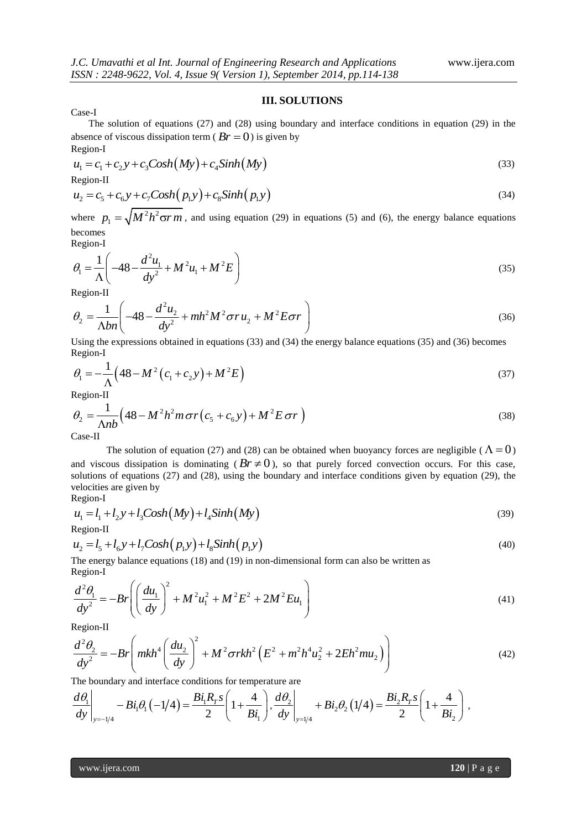# **III. SOLUTIONS**

Case-I

The solution of equations (27) and (28) using boundary and interface conditions in equation (29) in the absence of viscous dissipation term  $(Br = 0)$  is given by Region-I

$$
u_1 = c_1 + c_2 y + c_3 \text{Cosh}(My) + c_4 \text{Sinh}(My)
$$
\n(33)

Region-II

$$
\begin{aligned}\n\text{Region-II} \\
u_2 &= c_5 + c_6 y + c_7 \text{Cosh}(p_1 y) + c_8 \text{Sinh}(p_1 y)\n\end{aligned}\n\tag{34}
$$

where  $p_1 = \sqrt{M^2 h^2}$  $p_1 = \sqrt{M^2 h^2 \sigma r m}$ , and using equation (29) in equations (5) and (6), the energy balance equations becomes

Region-I

Region-I  
\n
$$
\theta_1 = \frac{1}{\Lambda} \left( -48 - \frac{d^2 u_1}{dy^2} + M^2 u_1 + M^2 E \right)
$$
\n(35)

Region-II

Region-II  
\n
$$
\theta_2 = \frac{1}{\Delta bn} \left( -48 - \frac{d^2 u_2}{dy^2} + mh^2 M^2 \sigma r u_2 + M^2 E \sigma r \right)
$$
\n(36)

Using the expressions obtained in equations (33) and (34) the energy balance equations (35) and (36) becomes Region-I

$$
\theta_1 = -\frac{1}{\Lambda} \left( 48 - M^2 \left( c_1 + c_2 y \right) + M^2 E \right)
$$
\n(37)

Region-II

Region-II  
\n
$$
\theta_2 = \frac{1}{\Lambda nb} \Big( 48 - M^2 h^2 m \sigma r \Big( c_5 + c_6 y \Big) + M^2 E \sigma r \Big)
$$
\n(38)

Case-II

The solution of equation (27) and (28) can be obtained when buoyancy forces are negligible ( $\Lambda = 0$ ) and viscous dissipation is dominating  $(Br \neq 0)$ , so that purely forced convection occurs. For this case, solutions of equations (27) and (28), using the boundary and interface conditions given by equation (29), the velocities are given by Region-I

$$
\mathcal{L}^{\text{ELOII-I}}_{\text{L}}
$$

$$
u_1 = l_1 + l_2 y + l_3 \text{Cosh}(My) + l_4 \text{Sinh}(My)
$$
\n(39)

Region-II

Region-II  
\n
$$
u_2 = l_5 + l_6 y + l_7 \text{Cosh}(p_1 y) + l_8 \text{Sinh}(p_1 y)
$$
\n(40)

The energy balance equations (18) and (19) in non-dimensional form can also be written as<br>
Region-I<br>  $\frac{d^2\theta_1}{dt^2} = -Br \left[ \left( \frac{du_1}{dt^2} \right)^2 + M^2u^2 + M^2F^2 + 2M^2Eu \right]$ Region-I

$$
\frac{d^2\theta_1}{dy^2} = -Br \left( \left( \frac{du_1}{dy} \right)^2 + M^2 u_1^2 + M^2 E^2 + 2M^2 E u_1 \right)
$$
\n(41)

Region-II

$$
dy^{2} = B \cdot \left( \left( dy \right)^{4} + M^{2} E^{4} E^{4} E^{4} \right)
$$
  
Region-II  

$$
\frac{d^{2} \theta_{2}}{dy^{2}} = -Br \left( mkh^{4} \left( \frac{du_{2}}{dy} \right)^{2} + M^{2} \sigma rkh^{2} \left( E^{2} + m^{2} h^{4} u_{2}^{2} + 2Eh^{2} m u_{2} \right) \right)
$$
(42)  
The boundary and interface conditions for temperature are

The boundary and interface conditions for temperature are  
\n
$$
\frac{d\theta_1}{dy}\Big|_{y=-1/4} - Bi_1\theta_1(-1/4) = \frac{Bi_1R_r s}{2} \left(1 + \frac{4}{Bi_1}\right), \frac{d\theta_2}{dy}\Big|_{y=1/4} + Bi_2\theta_2(1/4) = \frac{Bi_2R_r s}{2} \left(1 + \frac{4}{Bi_2}\right),
$$

www.ijera.com **120** | P a g e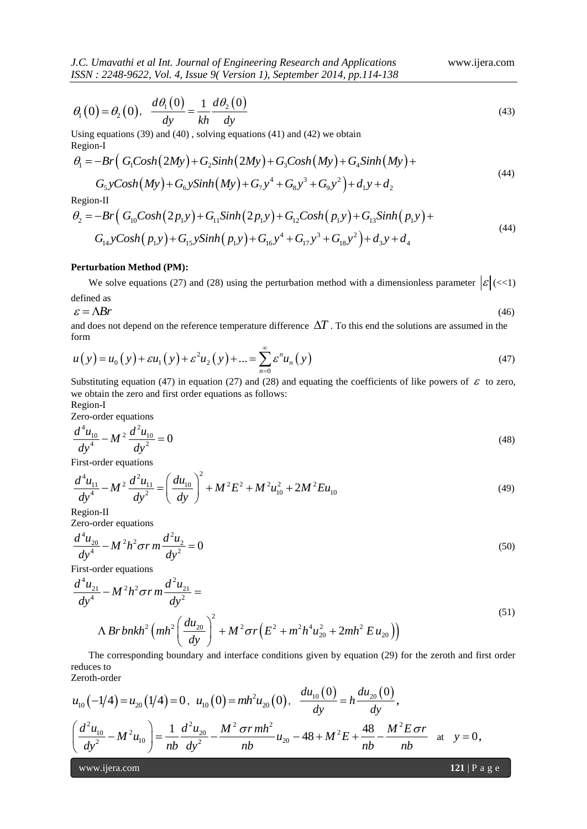*J.C. Umavathi et al Int. Journal of Engineering Research and Applications* www.ijera.com *ISSN : 2248-9622, Vol. 4, Issue 9( Version 1), September 2014, pp.114-138*

$$
\theta_1(0) = \theta_2(0), \quad \frac{d\theta_1(0)}{dy} = \frac{1}{kh} \frac{d\theta_2(0)}{dy}
$$
\n
$$
\tag{43}
$$

Using equations (39) and (40) , solving equations (41) and (42) we obtain

Region-I

Using equations (39) and (40), solving equations (41) and (42) we obtain  
\nRegion-I  
\n
$$
\theta_1 = -Br\Big( G_1Cosh(2My) + G_2Sinh(2My) + G_3Cosh(My) + G_4Sinh(My) + G_5yCosh(My) + G_6ySinh(My) + G_7y^4 + G_8y^3 + G_9y^2 \Big) + d_1y + d_2
$$
\n(44)

Region-II

$$
G_5yCosh(My) + G_6ySinh(My) + G_7y^4 + G_8y^3 + G_9y^2 + d_1y + d_2
$$
  
\nRegion-II  
\n
$$
\theta_2 = -Br\Big(G_{10}Cosh(2p_1y) + G_{11}Sinh(2p_1y) + G_{12}Cosh(p_1y) + G_{13}Sinh(p_1y) +
$$
\n
$$
G_{14}yCosh(p_1y) + G_{15}ySinh(p_1y) + G_{16}y^4 + G_{17}y^3 + G_{18}y^2\Big) + d_3y + d_4
$$
\n(44)

# **Perturbation Method (PM):**

We solve equations (27) and (28) using the perturbation method with a dimensionless parameter  $|\mathcal{E}|(\ll 1)$ 

defined as

$$
\varepsilon = \Lambda Br \tag{46}
$$

and does not depend on the reference temperature difference  $\Delta T$  . To this end the solutions are assumed in the form

form  
\n
$$
u(y) = u_0(y) + \varepsilon u_1(y) + \varepsilon^2 u_2(y) + \dots = \sum_{n=0}^{\infty} \varepsilon^n u_n(y)
$$
\n(47)

Substituting equation (47) in equation (27) and (28) and equating the coefficients of like powers of  $\varepsilon$  to zero, we obtain the zero and first order equations as follows:

Region-I

Zero-order equations

$$
\frac{d^4u_{10}}{dy^4} - M^2 \frac{d^2u_{10}}{dy^2} = 0
$$
\n(48)

$$
dy = ay
$$
  
\nFirst-order equations  
\n
$$
\frac{d^4 u_{11}}{dy^4} - M^2 \frac{d^2 u_{11}}{dy^2} = \left(\frac{du_{10}}{dy}\right)^2 + M^2 E^2 + M^2 u_{10}^2 + 2M^2 E u_{10}
$$
\n(49)  
\nRegion-II

Zero-order equations

$$
\frac{d^4 u_{20}}{dy^4} - M^2 h^2 \sigma r m \frac{d^2 u_2}{dy^2} = 0
$$
\n(50)

First-order equations

$$
\frac{d^4 u_{21}}{dy^4} - M^2 h^2 \sigma r m \frac{d^2 u_{21}}{dy^2} = 0
$$
\nFirst-order equations

\n
$$
\frac{d^4 u_{21}}{dy^4} - M^2 h^2 \sigma r m \frac{d^2 u_{21}}{dy^2} =
$$
\n
$$
\Delta Br\ b n k h^2 \left(m h^2 \left(\frac{d u_{20}}{dy}\right)^2 + M^2 \sigma r \left(E^2 + m^2 h^4 u_{20}^2 + 2m h^2 E u_{20}\right)\right)
$$
\nThe corresponding boundary and interface conditions given by equation (29) for the zeroth and first order.

The corresponding boundary and interface conditions given by equation (29) for the zeroth and first order reduces to Zeroth-order

$$
u_{10}(-1/4) = u_{20}(1/4) = 0, \ u_{10}(0) = mh^2 u_{20}(0), \ \frac{du_{10}(0)}{dy} = h \frac{du_{20}(0)}{dy},
$$

$$
\left(\frac{d^2 u_{10}}{dy^2} - M^2 u_{10}\right) = \frac{1}{nb} \frac{d^2 u_{20}}{dy^2} - \frac{M^2 \sigma r m h^2}{nb} u_{20} - 48 + M^2 E + \frac{48}{nb} - \frac{M^2 E \sigma r}{nb} \text{ at } y = 0,
$$

www.ijera.com **121** | P a g e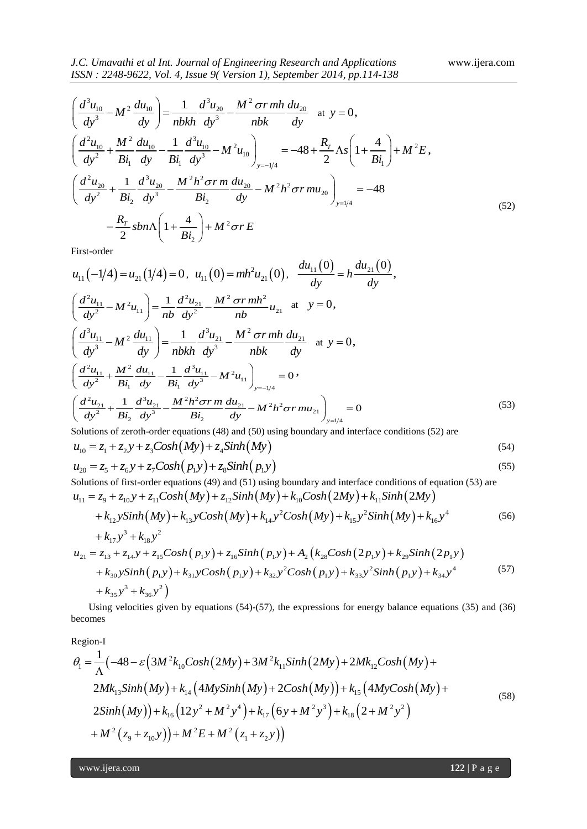$$
ISSN: 2248-9622, Vol. 4, Issue 9(Version 1), September 2014, pp.114-138
$$
\n
$$
\left(\frac{d^3u_{10}}{dy^3} - M^2 \frac{du_{10}}{dy}\right) = \frac{1}{nbkh} \frac{d^3u_{20}}{dy^3} - \frac{M^2 \sigma r mh}{nbk} \frac{du_{20}}{dy} \text{ at } y = 0,
$$
\n
$$
\left(\frac{d^2u_{10}}{dy^2} + \frac{M^2}{Bi_1} \frac{du_{10}}{dy} - \frac{1}{Bi_1} \frac{d^3u_{10}}{dy^3} - M^2u_{10}\right)_{y=-1/4} = -48 + \frac{R_r}{2} \Lambda s \left(1 + \frac{4}{Bi_1}\right) + M^2 E,
$$
\n
$$
\left(\frac{d^2u_{20}}{dy^2} + \frac{1}{Bi_2} \frac{d^3u_{20}}{dy^3} - \frac{M^2h^2 \sigma r m}{Bi_2} \frac{du_{20}}{dy} - M^2h^2 \sigma r m u_{20}\right)_{y=1/4} = -48
$$
\n
$$
-\frac{R_r}{2} shn\Lambda \left(1 + \frac{4}{Bi_2}\right) + M^2 \sigma r E
$$
\nEist order

First-order

$$
\left(\frac{d^{2}u_{10}}{dy^{3}}-M^{2}\frac{du_{10}}{dy}\right)=\frac{1}{nbkh}\frac{d^{3}u_{20}}{dy^{3}}-M^{2}\frac{d^{4}m^{3}}{dhk}\frac{dx_{20}}{dy} \text{ at } y=0,
$$
\n
$$
\left(\frac{d^{3}u_{10}}{dy^{2}}+\frac{M^{2}}{B_{1}}\frac{du_{10}}{dy}-\frac{1}{B_{1}}\frac{d^{3}u_{10}}{dy^{3}}-M^{2}u_{10}\right)_{y=-\frac{1}{2}}=-48+\frac{R_{f}}{2}\Delta s\left(1+\frac{4}{B_{1}}\right)+M^{2}E,
$$
\n
$$
\left(\frac{d^{2}u_{20}}{dy^{2}}+\frac{1}{B_{2}}\frac{d^{3}u_{20}}{dy}-\frac{M^{2}h^{2}\sigma r m}{B_{2}}\frac{du_{20}}{dy}-M^{2}h^{2}\sigma r m u_{20}\right)_{y=\frac{1}{2}}=-48
$$
\n
$$
-\frac{R_{r}}{2}\sin\Lambda\left(1+\frac{4}{B_{1}}\right)+M^{2}\sigma r E
$$
\nFirst-order\n
$$
u_{11}(-1/4)=u_{21}(1/4)=0, u_{11}(0)=mh^{2}u_{21}(0), \frac{du_{11}(0)}{dy}=h\frac{du_{21}(0)}{dy},
$$
\n
$$
\left(\frac{d^{3}u_{11}}{dy^{3}}-M^{2}u_{11}\right)=\frac{1}{nb}\frac{d^{3}u_{21}}{dy^{3}}-\frac{M^{3}\sigma r m h^{3}}{mb}u_{21} \text{ at } y=0,
$$
\n
$$
\left(\frac{d^{3}u_{11}}{dy^{3}}-M^{2}\frac{du_{11}}{dy}-\frac{1}{B_{1}}\frac{d^{3}u_{11}}{dy^{3}}-M^{2}m m m u_{21}\right)_{x=-\frac{1}{244}}=0
$$
\n
$$
\left(\frac{d^{3}u_{11}}{dy^{3}}+\frac{M^{2}u_{11}}{B_{1}}-\frac{1}{B_{1}}\frac{d^{3}u_{11}}{dy^{3}}-M^{2}u_{11}\right)_{x=-\frac{1}{244}}=0
$$
\

Solutions of zeroth-order equations (48) and (50) using boundary and interface conditions (52) are  $u_{10} = z_1 + z_2 y + z_3 \text{Cosh}(My) + z_4 \text{Sinh}(My)$  (54)

$$
u_{10} = z_1 + z_2 y + z_3 \text{Cosh}(My) + z_4 \text{Sinh}(My)
$$
\n
$$
u_{20} = z_5 + z_6 y + z_7 \text{Cosh}(p_1 y) + z_8 \text{Sinh}(p_1 y)
$$
\n(55)

Solutions of first-order equations (49) and (51) using boundary and interface conditions of equation (53) are blutions of first-order equations (49) and (51) using boundary and interface conditions of equations of equations (49) and (51) using boundary and interface conditions of equations  $x_{11} = z_9 + z_{10}y + z_{11}Cosh(My) + z_{12}Sinh(My) +$  $+ k_{10}Cosh(2My) + k_{11}Sinh(2My)$ <br>  $+ 2Cosh(My) + k_{15}y^2Sinh(My) + k_{16}y^4$  $u_{10} = z_1 + z_2y + z_3 \text{Cosh}(my) + z_4 \text{sinh}(my)$ <br>  $u_{20} = z_5 + z_6y + z_7 \text{Cosh}(p_1y) + z_8 \text{sinh}(p_1y)$ <br>
Solutions of first-order equations (49) and (51) using boundary and interface conditions of  $u_{11} = z_9 + z_{10}y + z_{11} \text{Cosh}(My) + z_{12} \text$ *k* y + z<sub>0</sub>*y* + z<sub>7</sub> Cosh ( $P_1y$ ) + z<sub>8</sub> Sinh ( $P_1y$ )<br> *k* of first-order equations (49) and (51) using boundary and interface conditions of equ<br>  $k_1 + z_{10}y + z_{11}Cosh(My) + z_{12}Sinh(My) + k_{10}Cosh(2My) + k_{11}Sinh(2My)$ <br>  $k_{12}ySinh(My$ =  $z_1$  +  $z_2$  y +  $z_3$ Cosh( $My$ ) +  $z_4$ Sinh( $My$ )<br>
=  $z_5$  +  $z_6$  y +  $z_7$ Cosh( $p_1$ y) +  $z_8$ Sinh( $p_1$ y)<br>
tions of first-order equations (49) and (51) using boundary and interface conditions of<br>
=  $z_9$  +  $z_{10}$  y  $-2.5 + 2.6y + 2.7 \text{Cosn}(p_1y) + 2.8 \text{Sim}(p_1y)$ <br>
ons of first-order equations (49) and (51) using boundary and interface conditions of equation (53)<br>  $z_9 + z_{10}y + z_{11} \text{Cosh}(My) + z_{12} \text{Sinh}(My) + k_{10} \text{Cosh}(2My) + k_{11} \text{Sinh}(2My)$ <br>

$$
u_{11} = z_9 + z_{10}y + z_{11}Cosh(My) + z_{12}Sinh(My) + k_{10}Cosh(2My) + k_{11}Sinh(2My) + k_{12}ySinh(My) + k_{13}yCosh(My) + k_{14}y^2Cosh(My) + k_{15}y^2Sinh(My) + k_{16}y^4 + k_{17}y^3 + k_{18}y^2
$$
\n
$$
u_{21} = z_{13} + z_{14}y + z_{15}Cosh(p_1y) + z_{16}Sinh(p_1y) + A_2(k_{28}Cosh(2p_1y) + k_{29}Sinh(2p_1y)
$$
\n
$$
u_{21} = z_{13} + z_{14}y + z_{15}Cosh(p_1y) + z_{16}Sinh(p_1y) + A_2(k_{28}Cosh(2p_1y) + k_{29}Sinh(2p_1y)
$$
\n(57)

$$
+k_{17}y^{3} + k_{18}y^{2}
$$
  
\n
$$
u_{21} = z_{13} + z_{14}y + z_{15}Cosh(p_{1}y) + z_{16}Sinh(p_{1}y) + A_{2}(k_{28}Cosh(2p_{1}y) + k_{29}Sinh(2p_{1}y) + k_{30}ySinh(p_{1}y) + k_{31}yCosh(p_{1}y) + k_{32}y^{2}Cosh(p_{1}y) + k_{33}y^{2}Sinh(p_{1}y) + k_{34}y^{4}
$$
\n(57)  
\n
$$
+k_{35}y^{3} + k_{36}y^{2}
$$
\nUsing the equations (54) (57), the expressions for energy belongs to equations (25) and (26)

Using velocities given by equations (54)-(57), the expressions for energy balance equations (35) and (36) becomes

Region-I

becomes  
\nRegion-I  
\n
$$
\theta_1 = \frac{1}{\Lambda} \left( -48 - \varepsilon \left( 3M^2 k_{10} \cosh(2My) + 3M^2 k_{11} \sinh(2My) + 2M k_{12} \cosh(My) + 2M k_{13} \sinh(My) + k_{14} \left( 4My \sinh(My) + 2Cosh(My) \right) + k_{15} \left( 4My \cosh(My) + 2\sinh(My) \right) + k_{16} \left( 12y^2 + M^2 y^4 \right) + k_{17} \left( 6y + M^2 y^3 \right) + k_{18} \left( 2 + M^2 y^2 \right) + M^2 \left( z_9 + z_{10} y \right) \right) + M^2 E + M^2 \left( z_1 + z_2 y \right)
$$
\n(58)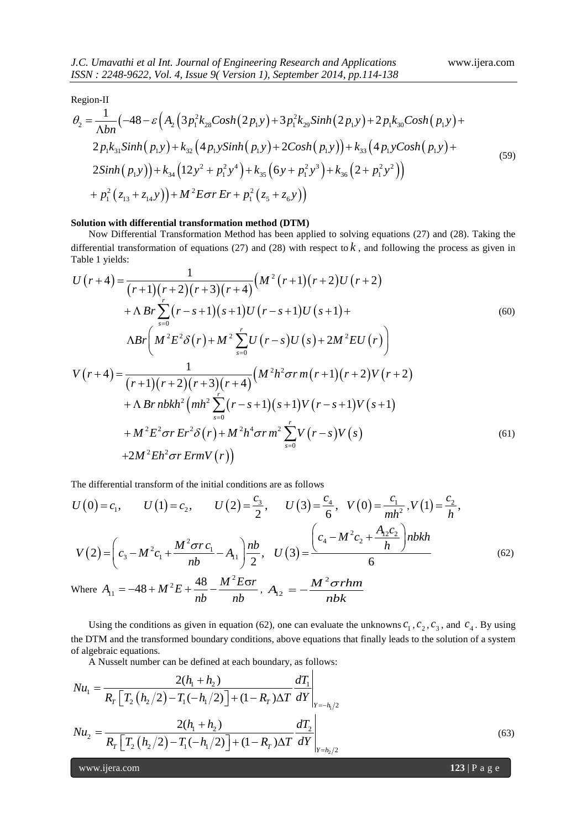Region-II

$$
ISSN: 2248-9622, Vol. 4, Issue 9( Version 1), September 2014, pp.114-138
$$
  
Region-II  

$$
\theta_2 = \frac{1}{\Lambda bn} \left( -48 - \varepsilon \left( A_2 \left( 3p_1^2 k_{28} Cost(2p_1 y) + 3p_1^2 k_{29} Simh(2p_1 y) + 2p_1 k_{30} Cost(p_1 y) + 2p_1 k_{31} Simh(p_1 y) + k_{32} \left( 4p_1 ySimh(p_1 y) + 2Cosh(p_1 y) \right) + k_{33} \left( 4p_1 yCost(p_1 y) + 2Simh(p_1 y) \right) + k_{34} \left( 12y^2 + p_1^2 y^4 \right) + k_{35} \left( 6y + p_1^2 y^3 \right) + k_{36} \left( 2 + p_1^2 y^2 \right) \right)
$$

$$
+ p_1^2 \left( z_{13} + z_{14} y \right) + M^2 E \sigma r E r + p_1^2 \left( z_5 + z_6 y \right)
$$
(59)

#### **Solution with differential transformation method (DTM)**

Now Differential Transformation Method has been applied to solving equations (27) and (28). Taking the differential transformation of equations (27) and (28) with respect to *k*, and following the process as given in Table 1 yields:<br>  $U(r+4) = \frac{1}{(r+1)(r+2)(r+3)(r+4)} (M^2(r+1)(r+2)U(r+2)$ Table 1 yields: 1

The formula for equations (27) and (26) with respect to *R*, and following the process as given in  
\nTable 1 yields:  
\n
$$
U(r+4) = \frac{1}{(r+1)(r+2)(r+3)(r+4)} (M^2(r+1)(r+2)U(r+2) + \Lambda Br \sum_{s=0}^{r} (r-s+1)(s+1)U(r-s+1)U(s+1) + \Lambda Br \left(M^2 E^2 \delta(r) + M^2 \sum_{s=0}^{r} U(r-s)U(s) + 2M^2 EU(r) \right)
$$
\n
$$
V(r+4) = \frac{1}{(r+1)(r+2)(r+3)(r+4)} (M^2 h^2 \sigma r m(r+1)(r+2)V(r+2) + \Lambda Br nbkh^2 (mh^2 \sum_{s=0}^{r} (r-s+1)(s+1)V(r-s+1)V(s+1) + M^2 E^2 \sigma r Er^2 \delta(r) + M^2 h^4 \sigma r m^2 \sum_{s=0}^{r} V(r-s)V(s)
$$
\n
$$
+2M^2 Eh^2 \sigma r E r m V(r)
$$
\n(61)

The differential transform of the initial conditions are as follows

The differential transform of the initial conditions are as follows  
\n
$$
U(0) = c_1, \qquad U(1) = c_2, \qquad U(2) = \frac{c_3}{2}, \qquad U(3) = \frac{c_4}{6}, \quad V(0) = \frac{c_1}{mh^2}, V(1) = \frac{c_2}{h},
$$
\n
$$
V(2) = \left(c_3 - M^2 c_1 + \frac{M^2 \sigma r c_1}{nb} - A_{11}\right) \frac{nb}{2}, \quad U(3) = \frac{\left(c_4 - M^2 c_2 + \frac{A_{12} c_2}{h}\right) nbkh}{6}
$$
\n
$$
\text{Where } A_{11} = -48 + M^2 E + \frac{48}{nh} - \frac{M^2 E \sigma r}{nh}, \quad A_{12} = -\frac{M^2 \sigma rhm}{nhh} \tag{62}
$$

Where 
$$
A_{11} = -48 + M^2 E + \frac{48}{nb} - \frac{M^2 E \sigma r}{nb}
$$
,  $A_{12} = -\frac{M^2 \sigma r h n}{nbk}$ 

Using the conditions as given in equation (62), one can evaluate the unknowns  $c_1$ ,  $c_2$ ,  $c_3$ , and  $c_4$ . By using the DTM and the transformed boundary conditions, above equations that finally leads to the solution of a system of algebraic equations.

A Nusselt number can be defined at each boundary, as follows:

of algebraic equations.  
\nA Nusselt number can be defined at each boundary, as follows:  
\n
$$
Nu_1 = \frac{2(h_1 + h_2)}{R_T \left[T_2 \left(h_2/2\right) - T_1 \left(-h_1/2\right)\right] + (1 - R_T)\Delta T} \frac{dT_1}{dY}\Big|_{Y = -h_1/2}
$$
\n
$$
Nu_2 = \frac{2(h_1 + h_2)}{R_T \left[T_2 \left(h_2/2\right) - T_1 \left(-h_1/2\right)\right] + (1 - R_T)\Delta T} \frac{dT_2}{dY}\Big|_{Y = h_2/2}
$$
\n(63)

www.ijera.com **123** | P a g e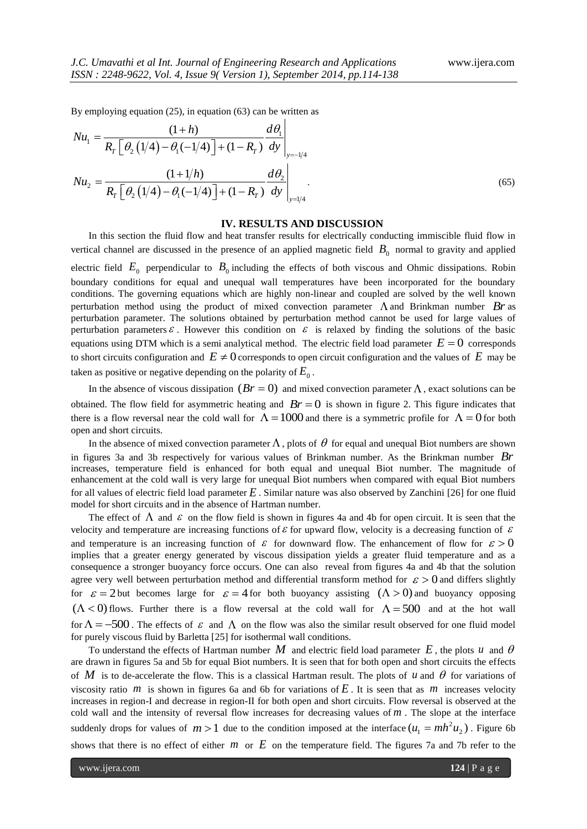By employing equation (25), in equation (63) can be written as  
\n
$$
Nu_{1} = \frac{(1+h)}{R_{T} \left[\theta_{2} (1/4) - \theta_{1} (-1/4)\right] + (1 - R_{T})} \frac{d\theta_{1}}{dy}\Big|_{y=-1/4}
$$
\n
$$
Nu_{2} = \frac{(1+1/h)}{R_{T} \left[\theta_{2} (1/4) - \theta_{1} (-1/4)\right] + (1 - R_{T})} \frac{d\theta_{2}}{dy}\Big|_{y=1/4}.
$$
\n(65)

## **IV. RESULTS AND DISCUSSION**

In this section the fluid flow and heat transfer results for electrically conducting immiscible fluid flow in vertical channel are discussed in the presence of an applied magnetic field  $B_0$  normal to gravity and applied electric field  $E_0$  perpendicular to  $B_0$  including the effects of both viscous and Ohmic dissipations. Robin boundary conditions for equal and unequal wall temperatures have been incorporated for the boundary conditions. The governing equations which are highly non-linear and coupled are solved by the well known perturbation method using the product of mixed convection parameter  $\Lambda$  and Brinkman number  $Br$  as perturbation parameter. The solutions obtained by perturbation method cannot be used for large values of perturbation parameters  $\varepsilon$ . However this condition on  $\varepsilon$  is relaxed by finding the solutions of the basic equations using DTM which is a semi analytical method. The electric field load parameter  $E = 0$  corresponds to short circuits configuration and  $E \neq 0$  corresponds to open circuit configuration and the values of  $E$  may be taken as positive or negative depending on the polarity of  $E_0$ .

In the absence of viscous dissipation  $(Br = 0)$  and mixed convection parameter  $\Lambda$ , exact solutions can be obtained. The flow field for asymmetric heating and  $Br = 0$  is shown in figure 2. This figure indicates that there is a flow reversal near the cold wall for  $\Lambda = 1000$  and there is a symmetric profile for  $\Lambda = 0$  for both open and short circuits.

In the absence of mixed convection parameter  $\Lambda$ , plots of  $\theta$  for equal and unequal Biot numbers are shown in figures 3a and 3b respectively for various values of Brinkman number. As the Brinkman number *Br* increases, temperature field is enhanced for both equal and unequal Biot number. The magnitude of enhancement at the cold wall is very large for unequal Biot numbers when compared with equal Biot numbers for all values of electric field load parameter *E* . Similar nature was also observed by Zanchini [26] for one fluid model for short circuits and in the absence of Hartman number.

The effect of  $\Lambda$  and  $\varepsilon$  on the flow field is shown in figures 4a and 4b for open circuit. It is seen that the velocity and temperature are increasing functions of  $\varepsilon$  for upward flow, velocity is a decreasing function of  $\varepsilon$ and temperature is an increasing function of  $\varepsilon$  for downward flow. The enhancement of flow for  $\varepsilon > 0$ implies that a greater energy generated by viscous dissipation yields a greater fluid temperature and as a consequence a stronger buoyancy force occurs. One can also reveal from figures 4a and 4b that the solution agree very well between perturbation method and differential transform method for  $\epsilon > 0$  and differs slightly for  $\varepsilon = 2$  but becomes large for  $\varepsilon = 4$  for both buoyancy assisting  $(\Lambda > 0)$  and buoyancy opposing  $(\Lambda < 0)$  flows. Further there is a flow reversal at the cold wall for  $\Lambda = 500$  and at the hot wall for  $\Lambda = -500$ . The effects of  $\varepsilon$  and  $\Lambda$  on the flow was also the similar result observed for one fluid model for purely viscous fluid by Barletta [25] for isothermal wall conditions.

To understand the effects of Hartman number  $M$  and electric field load parameter  $E$ , the plots  $u$  and  $\theta$ are drawn in figures 5a and 5b for equal Biot numbers. It is seen that for both open and short circuits the effects of M is to de-accelerate the flow. This is a classical Hartman result. The plots of  $u$  and  $\theta$  for variations of viscosity ratio  $m$  is shown in figures 6a and 6b for variations of  $E$ . It is seen that as  $m$  increases velocity increases in region-I and decrease in region-II for both open and short circuits. Flow reversal is observed at the cold wall and the intensity of reversal flow increases for decreasing values of  $m$ . The slope at the interface suddenly drops for values of  $m > 1$  due to the condition imposed at the interface  $(u_1 = mh^2u_2)$ . Figure 6b shows that there is no effect of either  $m$  or  $E$  on the temperature field. The figures 7a and 7b refer to the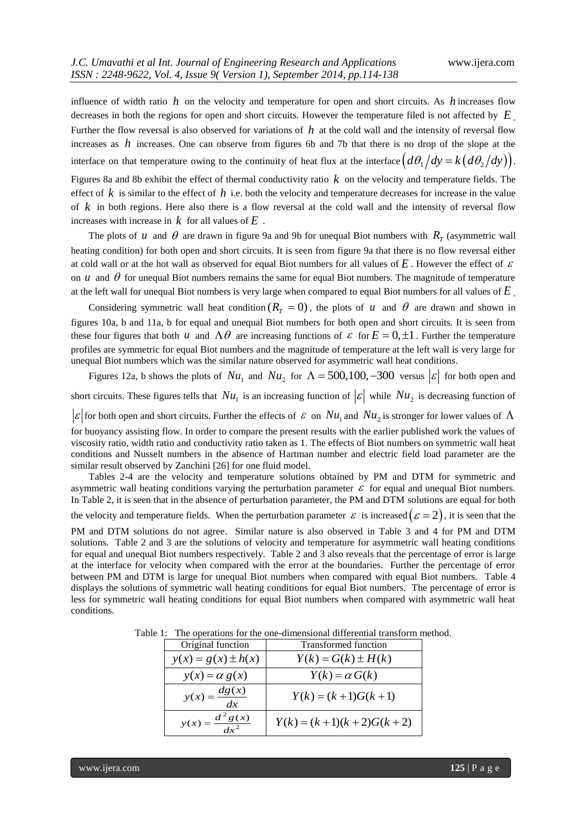influence of width ratio  $h$  on the velocity and temperature for open and short circuits. As  $h$  increases flow decreases in both the regions for open and short circuits. However the temperature filed is not affected by *E* . Further the flow reversal is also observed for variations of *h* at the cold wall and the intensity of reversal flow increases as *h* increases. One can observe from figures 6b and 7b that there is no drop of the slope at the interface on that temperature owing to the continuity of heat flux at the interface  $\left(d\theta_1/dy = k\left(d\theta_2/dy\right)\right)$ .

Figures 8a and 8b exhibit the effect of thermal conductivity ratio *k* on the velocity and temperature fields. The effect of  $k$  is similar to the effect of  $h$  i.e. both the velocity and temperature decreases for increase in the value of *k* in both regions. Here also there is a flow reversal at the cold wall and the intensity of reversal flow increases with increase in  $k$  for all values of  $E$ .

The plots of *u* and  $\theta$  are drawn in figure 9a and 9b for unequal Biot numbers with  $R_T$  (asymmetric wall heating condition) for both open and short circuits. It is seen from figure 9a that there is no flow reversal either at cold wall or at the hot wall as observed for equal Biot numbers for all values of  $E$ . However the effect of  $\varepsilon$ on  $u$  and  $\theta$  for unequal Biot numbers remains the same for equal Biot numbers. The magnitude of temperature at the left wall for unequal Biot numbers is very large when compared to equal Biot numbers for all values of *E* .

Considering symmetric wall heat condition  $(R_T = 0)$ , the plots of *u* and  $\theta$  are drawn and shown in figures 10a, b and 11a, b for equal and unequal Biot numbers for both open and short circuits. It is seen from these four figures that both *u* and  $\Lambda \theta$  are increasing functions of  $\varepsilon$  for  $E = 0, \pm 1$ . Further the temperature profiles are symmetric for equal Biot numbers and the magnitude of temperature at the left wall is very large for unequal Biot numbers which was the similar nature observed for asymmetric wall heat conditions.

Figures 12a, b shows the plots of  $Nu_1$  and  $Nu_2$  for  $\Lambda = 500,100, -300$  versus  $|\varepsilon|$  for both open and short circuits. These figures tells that  $Nu_1$  is an increasing function of  $|\varepsilon|$  while  $Nu_2$  is decreasing function of  $\varepsilon$  for both open and short circuits. Further the effects of  $\varepsilon$  on  $Nu_1$  and  $Nu_2$  is stronger for lower values of  $\Lambda$ for buoyancy assisting flow. In order to compare the present results with the earlier published work the values of viscosity ratio, width ratio and conductivity ratio taken as 1. The effects of Biot numbers on symmetric wall heat conditions and Nusselt numbers in the absence of Hartman number and electric field load parameter are the similar result observed by Zanchini [26] for one fluid model.

Tables 2-4 are the velocity and temperature solutions obtained by PM and DTM for symmetric and asymmetric wall heating conditions varying the perturbation parameter  $\varepsilon$  for equal and unequal Biot numbers. In Table 2, it is seen that in the absence of perturbation parameter, the PM and DTM solutions are equal for both

the velocity and temperature fields. When the perturbation parameter  $\varepsilon$  is increased  $(\varepsilon = 2)$ , it is seen that the

PM and DTM solutions do not agree. Similar nature is also observed in Table 3 and 4 for PM and DTM solutions. Table 2 and 3 are the solutions of velocity and temperature for asymmetric wall heating conditions for equal and unequal Biot numbers respectively. Table 2 and 3 also reveals that the percentage of error is large at the interface for velocity when compared with the error at the boundaries. Further the percentage of error between PM and DTM is large for unequal Biot numbers when compared with equal Biot numbers. Table 4 displays the solutions of symmetric wall heating conditions for equal Biot numbers. The percentage of error is less for symmetric wall heating conditions for equal Biot numbers when compared with asymmetric wall heat conditions.

| Original function      | Transformed function   |  |
|------------------------|------------------------|--|
| $y(x) = g(x) \pm h(x)$ | $Y(k) = G(k) \pm H(k)$ |  |
| $y(x) = \alpha g(x)$   | $Y(k) = \alpha G(k)$   |  |

Table 1: The operations for the one-dimensional differential transform method.

| $y(x) = g(x) \pm h(x)$         | $Y(k) = G(k) \pm H(k)$    |
|--------------------------------|---------------------------|
| $y(x) = \alpha g(x)$           | $Y(k) = \alpha G(k)$      |
| $y(x) = \frac{dg(x)}{dx}$      | $Y(k) = (k+1)G(k+1)$      |
| $y(x) = \frac{d^2 g(x)}{dx^2}$ | $Y(k) = (k+1)(k+2)G(k+2)$ |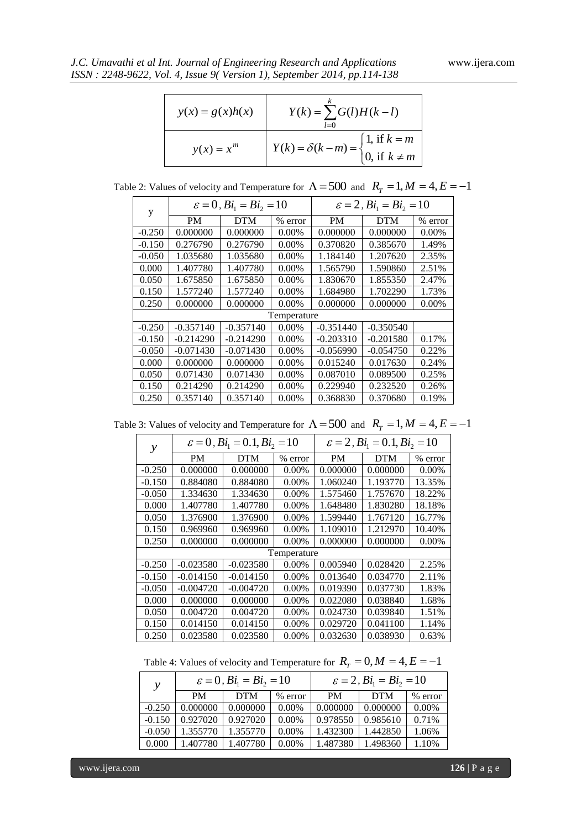| J.C. Umavathi et al Int. Journal of Engineering Research and Applications |  |  |  |
|---------------------------------------------------------------------------|--|--|--|
| ISSN: 2248-9622, Vol. 4, Issue 9(Version 1), September 2014, pp.114-138   |  |  |  |

| $y(x) = g(x)h(x)$ | $Y(k) = \sum G(l)H(k-l)$<br>$l=0$                                                                    |
|-------------------|------------------------------------------------------------------------------------------------------|
| $y(x) = x^m$      | $Y(k) = \delta(k - m) = \begin{cases} 1, & \text{if } k = m \\ 0, & \text{if } k \neq m \end{cases}$ |

Table 2: Values of velocity and Temperature for  $\Lambda = 500$  and  $R_T = 1, M = 4, E = -1$ 

| y        | $\varepsilon = 0$ , $Bi_1 = Bi_2 = 10$ |             |             | $\varepsilon = 2$ , $Bi_1 = Bi_2 = 10$ |             |          |
|----------|----------------------------------------|-------------|-------------|----------------------------------------|-------------|----------|
|          | <b>PM</b>                              | <b>DTM</b>  | $%$ error   | PM                                     | <b>DTM</b>  | % error  |
| $-0.250$ | 0.000000                               | 0.000000    | 0.00%       | 0.000000                               | 0.000000    | 0.00%    |
| $-0.150$ | 0.276790                               | 0.276790    | 0.00%       | 0.370820                               | 0.385670    | 1.49%    |
| $-0.050$ | 1.035680                               | 1.035680    | $0.00\%$    | 1.184140                               | 1.207620    | 2.35%    |
| 0.000    | 1.407780                               | 1.407780    | 0.00%       | 1.565790                               | 1.590860    | 2.51%    |
| 0.050    | 1.675850                               | 1.675850    | 0.00%       | 1.830670                               | 1.855350    | 2.47%    |
| 0.150    | 1.577240                               | 1.577240    | $0.00\%$    | 1.684980                               | 1.702290    | 1.73%    |
| 0.250    | 0.000000                               | 0.000000    | $0.00\%$    | 0.000000                               | 0.000000    | $0.00\%$ |
|          |                                        |             | Temperature |                                        |             |          |
| $-0.250$ | $-0.357140$                            | $-0.357140$ | 0.00%       | $-0.351440$                            | $-0.350540$ |          |
| $-0.150$ | $-0.214290$                            | $-0.214290$ | 0.00%       | $-0.203310$                            | $-0.201580$ | 0.17%    |
| $-0.050$ | $-0.071430$                            | $-0.071430$ | $0.00\%$    | $-0.056990$                            | $-0.054750$ | 0.22%    |
| 0.000    | 0.000000                               | 0.000000    | 0.00%       | 0.015240                               | 0.017630    | 0.24%    |
| 0.050    | 0.071430                               | 0.071430    | $0.00\%$    | 0.087010                               | 0.089500    | 0.25%    |
| 0.150    | 0.214290                               | 0.214290    | 0.00%       | 0.229940                               | 0.232520    | 0.26%    |
| 0.250    | 0.357140                               | 0.357140    | 0.00%       | 0.368830                               | 0.370680    | 0.19%    |

Table 3: Values of velocity and Temperature for  $\Lambda = 500$  and  $R_T = 1, M = 4, E = -1$ 

| у        | $\varepsilon = 0$ , $Bi_1 = 0.1$ , $Bi_2 = 10$ |             |             | $\varepsilon = 2$ , $Bi_1 = 0.1$ , $Bi_2 = 10$ |            |          |
|----------|------------------------------------------------|-------------|-------------|------------------------------------------------|------------|----------|
|          | <b>PM</b>                                      | <b>DTM</b>  | % error     | <b>PM</b>                                      | <b>DTM</b> | % error  |
| $-0.250$ | 0.000000                                       | 0.000000    | $0.00\%$    | 0.000000                                       | 0.000000   | $0.00\%$ |
| $-0.150$ | 0.884080                                       | 0.884080    | $0.00\%$    | 1.060240                                       | 1.193770   | 13.35%   |
| $-0.050$ | 1.334630                                       | 1.334630    | 0.00%       | 1.575460                                       | 1.757670   | 18.22%   |
| 0.000    | 1.407780                                       | 1.407780    | $0.00\%$    | 1.648480                                       | 1.830280   | 18.18%   |
| 0.050    | 1.376900                                       | 1.376900    | $0.00\%$    | 1.599440                                       | 1.767120   | 16.77%   |
| 0.150    | 0.969960                                       | 0.969960    | $0.00\%$    | 1.109010                                       | 1.212970   | 10.40%   |
| 0.250    | 0.000000                                       | 0.000000    | 0.00%       | 0.000000                                       | 0.000000   | $0.00\%$ |
|          |                                                |             | Temperature |                                                |            |          |
| $-0.250$ | $-0.023580$                                    | $-0.023580$ | 0.00%       | 0.005940                                       | 0.028420   | 2.25%    |
| $-0.150$ | $-0.014150$                                    | $-0.014150$ | $0.00\%$    | 0.013640                                       | 0.034770   | 2.11%    |
| $-0.050$ | $-0.004720$                                    | $-0.004720$ | $0.00\%$    | 0.019390                                       | 0.037730   | 1.83%    |
| 0.000    | 0.000000                                       | 0.000000    | $0.00\%$    | 0.022080                                       | 0.038840   | 1.68%    |
| 0.050    | 0.004720                                       | 0.004720    | $0.00\%$    | 0.024730                                       | 0.039840   | 1.51%    |
| 0.150    | 0.014150                                       | 0.014150    | 0.00%       | 0.029720                                       | 0.041100   | 1.14%    |
| 0.250    | 0.023580                                       | 0.023580    | $0.00\%$    | 0.032630                                       | 0.038930   | 0.63%    |

Table 4: Values of velocity and Temperature for  $R_T = 0, M = 4, E = -1$ 

| $\mathcal{V}$ | $\varepsilon = 0$ , $Bi_1 = Bi_2 = 10$ |            |          | $\varepsilon = 2$ , $Bi_1 = Bi_2 = 10$ |            |         |
|---------------|----------------------------------------|------------|----------|----------------------------------------|------------|---------|
|               | <b>PM</b>                              | <b>DTM</b> | % error  | PM                                     | <b>DTM</b> | % error |
| $-0.250$      | 0.000000                               | 0.000000   | 0.00%    | 0.000000                               | 0.000000   | 0.00%   |
| $-0.150$      | 0.927020                               | 0.927020   | 0.00%    | 0.978550                               | 0.985610   | 0.71%   |
| $-0.050$      | 1.355770                               | 1.355770   | $0.00\%$ | 1.432300                               | 1.442850   | 1.06%   |
| 0.000         | 1.407780                               | 1.407780   | $0.00\%$ | 1.487380                               | 1.498360   | 1.10%   |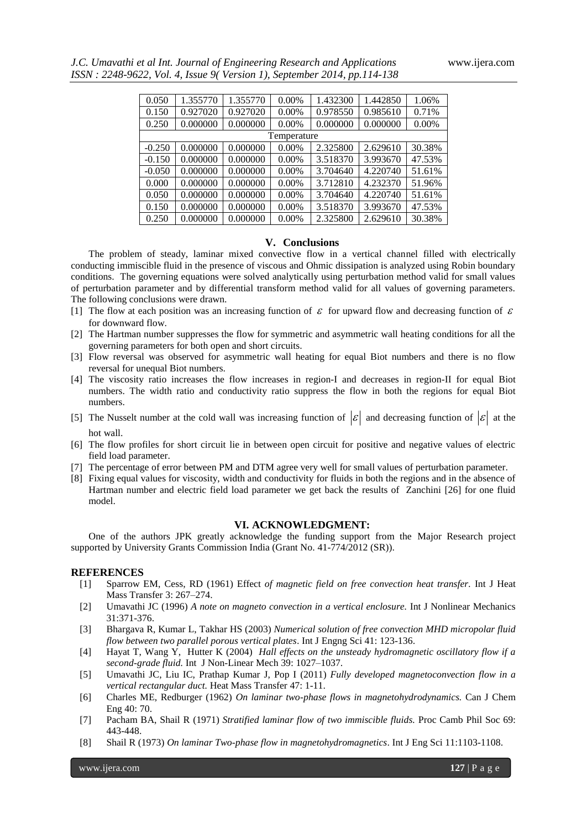|  | J.C. Umavathi et al Int. Journal of Engineering Research and Applications |  |
|--|---------------------------------------------------------------------------|--|
|  | ISSN: 2248-9622, Vol. 4, Issue 9(Version 1), September 2014, pp.114-138   |  |

| 0.050    | 1.355770 | 1.355770 | 0.00%       | 1.432300 | 1.442850 | 1.06%    |
|----------|----------|----------|-------------|----------|----------|----------|
| 0.150    | 0.927020 | 0.927020 | $0.00\%$    | 0.978550 | 0.985610 | 0.71%    |
| 0.250    | 0.000000 | 0.000000 | $0.00\%$    | 0.000000 | 0.000000 | $0.00\%$ |
|          |          |          | Temperature |          |          |          |
| $-0.250$ | 0.000000 | 0.000000 | $0.00\%$    | 2.325800 | 2.629610 | 30.38%   |
| $-0.150$ | 0.000000 | 0.000000 | $0.00\%$    | 3.518370 | 3.993670 | 47.53%   |
| $-0.050$ | 0.000000 | 0.000000 | $0.00\%$    | 3.704640 | 4.220740 | 51.61%   |
| 0.000    | 0.000000 | 0.000000 | $0.00\%$    | 3.712810 | 4.232370 | 51.96%   |
| 0.050    | 0.000000 | 0.000000 | $0.00\%$    | 3.704640 | 4.220740 | 51.61%   |
| 0.150    | 0.000000 | 0.000000 | $0.00\%$    | 3.518370 | 3.993670 | 47.53%   |
| 0.250    | 0.000000 | 0.000000 | $0.00\%$    | 2.325800 | 2.629610 | 30.38%   |

# **V. Conclusions**

The problem of steady, laminar mixed convective flow in a vertical channel filled with electrically conducting immiscible fluid in the presence of viscous and Ohmic dissipation is analyzed using Robin boundary conditions. The governing equations were solved analytically using perturbation method valid for small values of perturbation parameter and by differential transform method valid for all values of governing parameters. The following conclusions were drawn.

- [1] The flow at each position was an increasing function of  $\epsilon$  for upward flow and decreasing function of  $\epsilon$ for downward flow.
- [2] The Hartman number suppresses the flow for symmetric and asymmetric wall heating conditions for all the governing parameters for both open and short circuits.
- [3] Flow reversal was observed for asymmetric wall heating for equal Biot numbers and there is no flow reversal for unequal Biot numbers.
- [4] The viscosity ratio increases the flow increases in region-I and decreases in region-II for equal Biot numbers. The width ratio and conductivity ratio suppress the flow in both the regions for equal Biot numbers.
- [5] The Nusselt number at the cold wall was increasing function of  $|\mathcal{E}|$  and decreasing function of  $|\mathcal{E}|$  at the hot wall.
- [6] The flow profiles for short circuit lie in between open circuit for positive and negative values of electric field load parameter.
- [7] The percentage of error between PM and DTM agree very well for small values of perturbation parameter.
- [8] Fixing equal values for viscosity, width and conductivity for fluids in both the regions and in the absence of Hartman number and electric field load parameter we get back the results of Zanchini [26] for one fluid model.

# **VI. ACKNOWLEDGMENT:**

One of the authors JPK greatly acknowledge the funding support from the Major Research project supported by University Grants Commission India (Grant No. 41-774/2012 (SR)).

#### **REFERENCES**

- [1] Sparrow EM, Cess, RD (1961) Effect *of magnetic field on free convection heat transfer.* Int J Heat Mass Transfer 3: 267–274.
- [2] Umavathi JC (1996) *A note on magneto convection in a vertical enclosure.* Int J Nonlinear Mechanics 31:371-376.
- [3] Bhargava R, Kumar L, Takhar HS (2003) *Numerical solution of free convection MHD micropolar fluid flow between two parallel porous vertical plates*. Int J Engng Sci 41: 123-136.
- [4] Hayat T, Wang Y, Hutter K (2004) *Hall effects on the unsteady hydromagnetic oscillatory flow if a second-grade fluid.* Int J Non-Linear Mech 39: 1027–1037.
- [5] Umavathi JC, Liu IC, Prathap Kumar J, Pop I (2011) *Fully developed magnetoconvection flow in a vertical rectangular duct.* Heat Mass Transfer 47: 1-11.
- [6] Charles ME, Redburger (1962) *On laminar two-phase flows in magnetohydrodynamics.* Can J Chem Eng 40: 70.
- [7] Pacham BA, Shail R (1971) *Stratified laminar flow of two immiscible fluids.* Proc Camb Phil Soc 69: 443-448.
- [8] Shail R (1973) *On laminar Two-phase flow in magnetohydromagnetics*. Int J Eng Sci 11:1103-1108.

www.ijera.com **127** | P a g e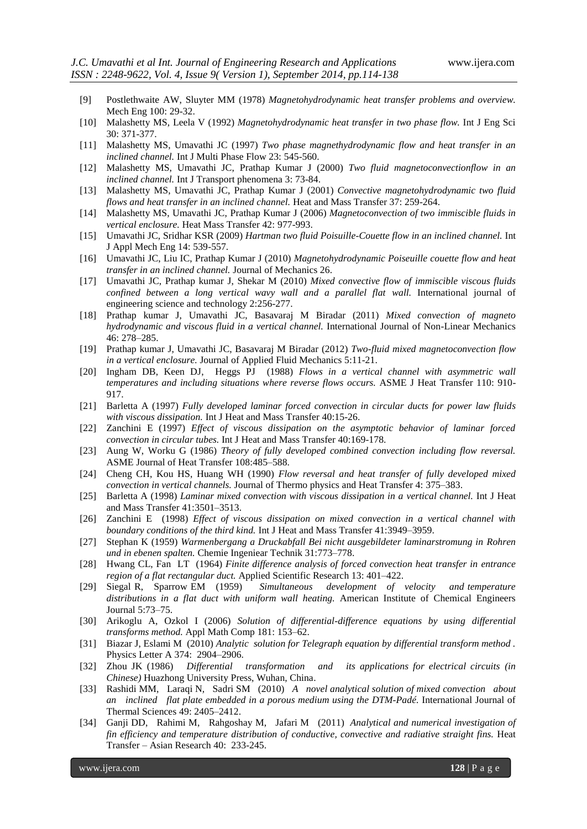- [9] Postlethwaite AW, Sluyter MM (1978) *Magnetohydrodynamic heat transfer problems and overview.* Mech Eng 100: 29-32.
- [10] Malashetty MS, Leela V (1992) *Magnetohydrodynamic heat transfer in two phase flow.* Int J Eng Sci 30: 371-377.
- [11] Malashetty MS, Umavathi JC (1997) *Two phase magnethydrodynamic flow and heat transfer in an inclined channel.* Int J Multi Phase Flow 23: 545-560.
- [12] Malashetty MS, Umavathi JC, Prathap Kumar J (2000) *Two fluid magnetoconvectionflow in an inclined channel.* Int J Transport phenomena 3: 73-84.
- [13] Malashetty MS, Umavathi JC, Prathap Kumar J (2001) *Convective magnetohydrodynamic two fluid flows and heat transfer in an inclined channel.* Heat and Mass Transfer 37: 259-264.
- [14] Malashetty MS, Umavathi JC, Prathap Kumar J (2006) *Magnetoconvection of two immiscible fluids in vertical enclosure.* Heat Mass Transfer 42: 977-993.
- [15] Umavathi JC, Sridhar KSR (2009) *Hartman two fluid Poisuille-Couette flow in an inclined channel.* Int J Appl Mech Eng 14: 539-557.
- [16] Umavathi JC, Liu IC, Prathap Kumar J (2010) *Magnetohydrodynamic Poiseuille couette flow and heat transfer in an inclined channel.* Journal of Mechanics 26.
- [17] Umavathi JC, Prathap kumar J, Shekar M (2010) *Mixed convective flow of immiscible viscous fluids confined between a long vertical wavy wall and a parallel flat wall.* International journal of engineering science and technology 2:256-277.
- [18] Prathap kumar J, Umavathi JC, Basavaraj M Biradar (2011) *Mixed convection of magneto hydrodynamic and viscous fluid in a vertical channel.* International Journal of Non-Linear Mechanics 46: 278–285.
- [19] Prathap kumar J, Umavathi JC, Basavaraj M Biradar (2012) *Two-fluid mixed magnetoconvection flow in a vertical enclosure.* Journal of Applied Fluid Mechanics 5:11-21.
- [20] Ingham DB, Keen DJ, Heggs PJ (1988) *Flows in a vertical channel with asymmetric wall temperatures and including situations where reverse flows occurs.* ASME J Heat Transfer 110: 910- 917.
- [21] Barletta A (1997) *Fully developed laminar forced convection in circular ducts for power law fluids with viscous dissipation.* Int J Heat and Mass Transfer 40:15-26.
- [22] Zanchini E (1997) *Effect of viscous dissipation on the asymptotic behavior of laminar forced convection in circular tubes.* Int J Heat and Mass Transfer 40:169-178.
- [23] Aung W, Worku G (1986) *Theory of fully developed combined convection including flow reversal.* ASME Journal of Heat Transfer 108:485–588.
- [24] Cheng CH, Kou HS, Huang WH (1990) *Flow reversal and heat transfer of fully developed mixed convection in vertical channels.* Journal of Thermo physics and Heat Transfer 4: 375–383.
- [25] Barletta A (1998) *Laminar mixed convection with viscous dissipation in a vertical channel.* Int J Heat and Mass Transfer 41:3501–3513.
- [26] Zanchini E (1998) *Effect of viscous dissipation on mixed convection in a vertical channel with boundary conditions of the third kind.* Int J Heat and Mass Transfer 41:3949–3959.
- [27] Stephan K (1959) *Warmenbergang a Druckabfall Bei nicht ausgebildeter laminarstromung in Rohren und in ebenen spalten.* Chemie Ingeniear Technik 31:773–778.
- [28] Hwang CL, Fan LT (1964) *Finite difference analysis of forced convection heat transfer in entrance region of a flat rectangular duct.* Applied Scientific Research 13: 401–422.
- [29] Siegal R, Sparrow EM (1959) *Simultaneous development of velocity and temperature distributions in a flat duct with uniform wall heating.* American Institute of Chemical Engineers Journal 5:73–75.
- [30] Arikoglu A, Ozkol I (2006) *Solution of differential-difference equations by using differential transforms method.* Appl Math Comp 181: 153–62.
- [31] Biazar J, Eslami M (2010) *Analytic solution for Telegraph equation by differential transform method .* Physics Letter A 374: 2904–2906.
- [32] Zhou JK (1986) *Differential transformation and its applications for electrical circuits (in Chinese)* Huazhong University Press, Wuhan, China.
- [33] Rashidi MM, Laraqi N, Sadri SM (2010) *A novel analytical solution of mixed convection about an inclined flat plate embedded in a porous medium using the DTM-Padé.* International Journal of Thermal Sciences 49: 2405–2412.
- [34] Ganji DD, Rahimi M, Rahgoshay M, Jafari M (2011) *Analytical and numerical investigation of fin efficiency and temperature distribution of conductive, convective and radiative straight fins.* Heat Transfer – Asian Research 40: 233-245.

www.ijera.com **128** | P a g e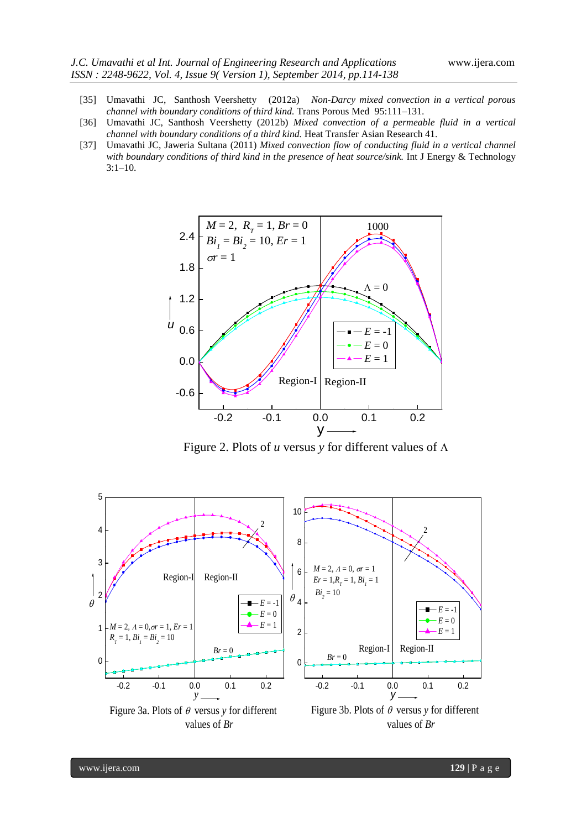- [35] Umavathi JC, Santhosh Veershetty (2012a) *Non-Darcy mixed convection in a vertical porous channel with boundary conditions of third kind.* Trans Porous Med 95:111–131.
- [36] Umavathi JC, Santhosh Veershetty (2012b) *Mixed convection of a permeable fluid in a vertical channel with boundary conditions of a third kind.* Heat Transfer Asian Research 41.
- [37] Umavathi JC, Jaweria Sultana (2011) *Mixed convection flow of conducting fluid in a vertical channel with boundary conditions of third kind in the presence of heat source/sink.* Int J Energy & Technology 3:1–10.



Figure 2. Plots of  $u$  versus  $y$  for different values of  $\Lambda$ 

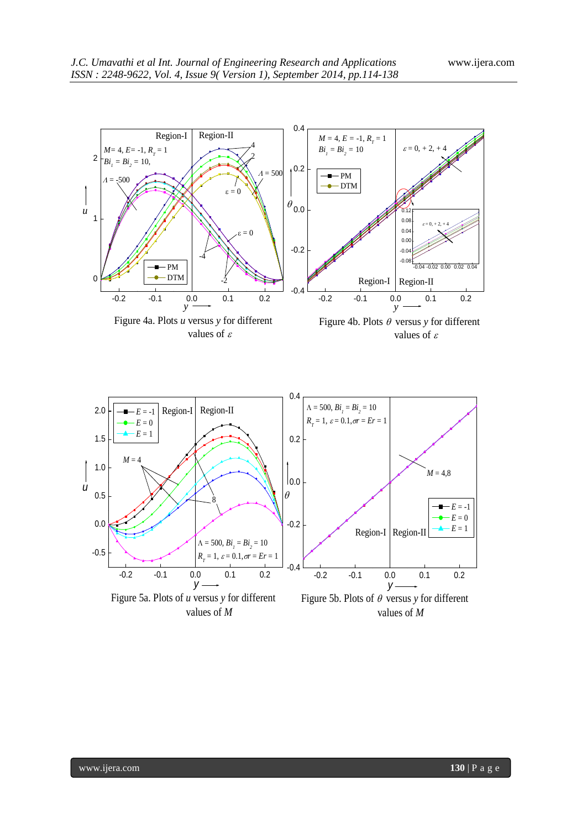

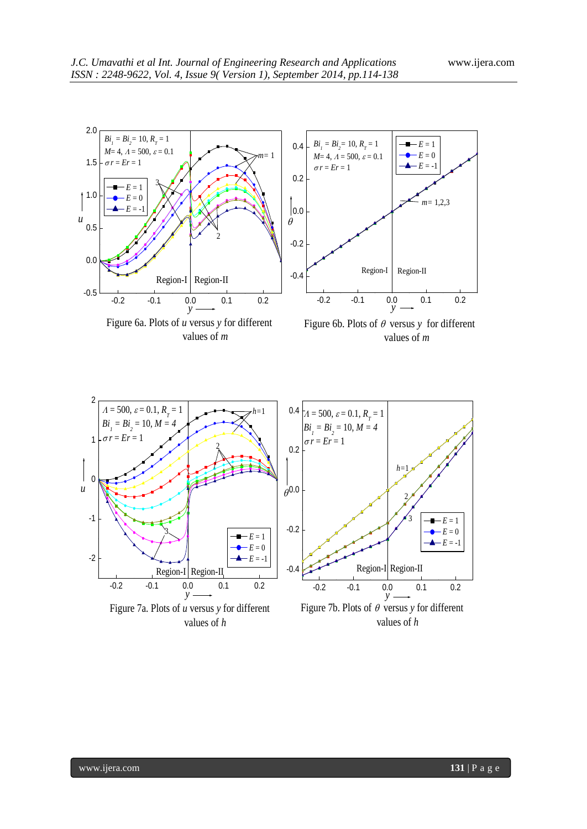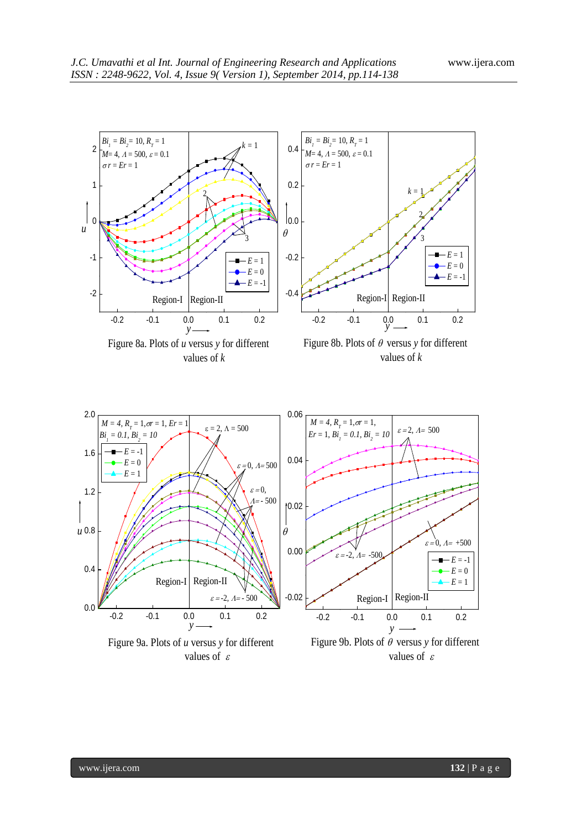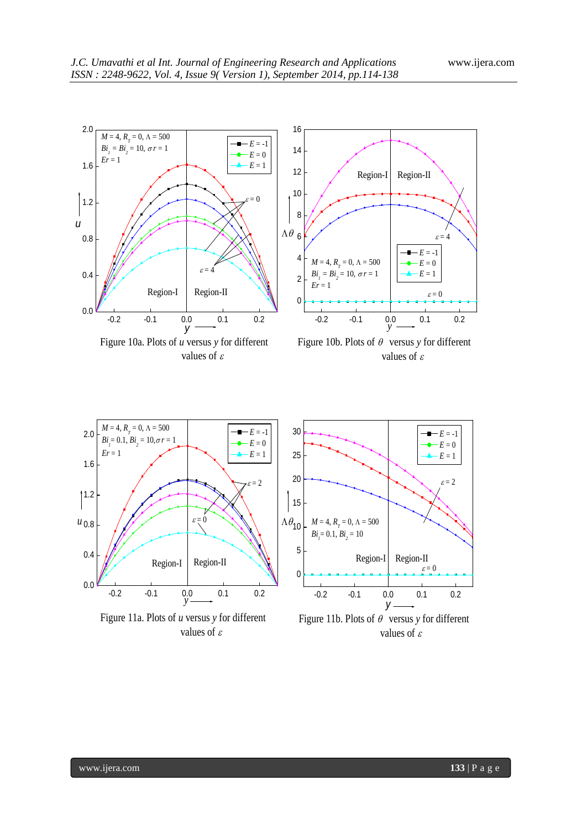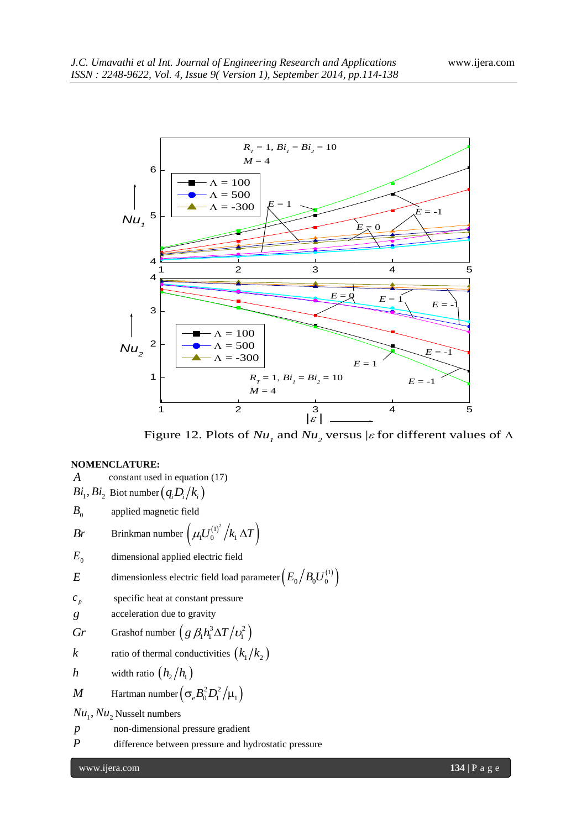

Figure 12. Plots of  $Nu_{_I}$  and  $Nu_{_2}$  versus | $\varepsilon$  for different values of  $\Lambda$ 

# **NOMENCLATURE:**

*A* constant used in equation (17)  $Bi_1, Bi_2$  Biot number  $\left( q_iD_i/k_i \right)$  $B<sub>0</sub>$  applied magnetic field  $Br$  Brinkman number  $\left(\mu_{\text{i}}U^{(1)^2}_0\big/k_{\text{i}}\,\Delta T\right)^2$  $E_{0}$  dimensional applied electric field  $E$  dimensionless electric field load parameter  $\left(E_{_0}\right/B_{_0}U_{_0}^{(1)}\right)$  $c_p$ specific heat at constant pressure *g* acceleration due to gravity  $Gr$  Grashof number  $(g \beta_1 h_1^3 \Delta T / v_1^2)$ *k* ratio of thermal conductivities  $(k_1/k_2)$ *h* width ratio  $\left(h_2/h_1\right)$  $M$  Hartman number  $\left(\sigma_{e} B_0^2 D_{\text{l}}^2/\mu_{\text{l}}\right)$  $Nu_1$ ,  $Nu_2$  Nusselt numbers *p* non-dimensional pressure gradient *P* difference between pressure and hydrostatic pressure

www.ijera.com **134** | P a g e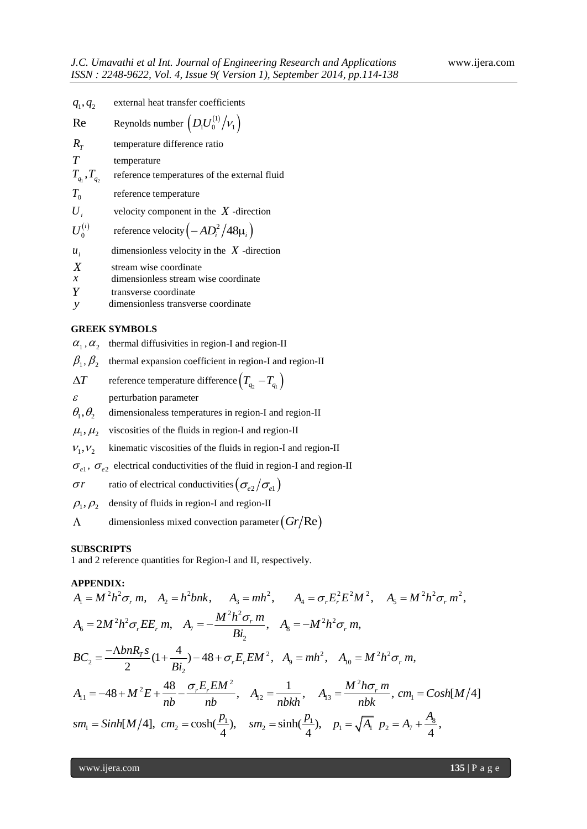| $q_1, q_2$         | external heat transfer coefficients               |
|--------------------|---------------------------------------------------|
| Re                 | Reynolds number $\left(D_1U_0^{(1)}/v_1\right)$   |
| $R_T$              | temperature difference ratio                      |
| $\overline{T}$     | temperature                                       |
| $T_{q_1}, T_{q_2}$ | reference temperatures of the external fluid      |
| $T_{0}$            | reference temperature                             |
| $U_i$              | velocity component in the $X$ -direction          |
| $U_0^{(i)}$        | reference velocity $\left(-AD_i^2/48\mu_i\right)$ |
| $u_i$              | dimensionless velocity in the $X$ -direction      |
| $\boldsymbol{X}$   | stream wise coordinate                            |
| $\mathcal{X}$      | dimensionless stream wise coordinate              |
| v                  | taanarranaa aagandinata                           |

*Y* transverse coordinate

*y* dimensionless transverse coordinate

# **GREEK SYMBOLS**

 $\alpha_1$ ,  $\alpha_2$  thermal diffusivities in region-I and region-II

 $\beta_1, \beta_2$  thermal expansion coefficient in region-I and region-II

 $\Delta T$ reference temperature difference  $\left(T_{_{q_2}}\!-\!T_{_{q_1}}\right)$ 

 $\mathcal{E}$ perturbation parameter

 $\theta_{\scriptscriptstyle 1}^{\phantom{\dagger}}, \theta_{\scriptscriptstyle 2}^{\phantom{\dagger}}$ dimensionaless temperatures in region-I and region-II

 $\mu_1, \mu_2$  viscosities of the fluids in region-I and region-II

 $V_1, V_2$ kinematic viscosities of the fluids in region-I and region-II

 $\sigma_{e1}$ ,  $\sigma_{e2}$  electrical conductivities of the fluid in region-I and region-II

$$
\sigma r
$$
 ratio of electrical conductivities  $(\sigma_{e2}/\sigma_{e1})$ 

 $\rho_{\text{\tiny{l}}}^{}, \rho_{\text{\tiny{2}}}^{}$ density of fluids in region-I and region-II

 $\Lambda$ dimensionless mixed convection parameter  $\left(Gr/\text{Re}\right)$ 

# **SUBSCRIPTS**

1 and 2 reference quantities for Region-I and II, respectively.

#### **APPENDIX:**

**SUBSCRIPIS**  
\n1 and 2 reference quantities for Region-I and II, respectively.  
\n**APPENDIX:**  
\n
$$
A_1 = M^2 h^2 \sigma_r m, \quad A_2 = h^2 b n k, \quad A_3 = m h^2, \quad A_4 = \sigma_r E_r^2 E^2 M^2, \quad A_5 = M^2 h^2 \sigma_r m^2,
$$
\n
$$
A_6 = 2M^2 h^2 \sigma_r E E_r m, \quad A_7 = -\frac{M^2 h^2 \sigma_r m}{Bi_2}, \quad A_8 = -M^2 h^2 \sigma_r m,
$$
\n
$$
BC_2 = \frac{-\Delta b n R_r s}{2} (1 + \frac{4}{Bi_2}) - 48 + \sigma_r E_r E M^2, \quad A_9 = m h^2, \quad A_{10} = M^2 h^2 \sigma_r m,
$$
\n
$$
A_{11} = -48 + M^2 E + \frac{48}{nb} - \frac{\sigma_r E_r E M^2}{nb}, \quad A_{12} = \frac{1}{n b k h}, \quad A_{13} = \frac{M^2 h \sigma_r m}{n b k}, \quad cm_1 = \text{Cosh}[M/4]
$$
\n
$$
sm_1 = \text{Sinh}[M/4], \quad cm_2 = \cosh(\frac{p_1}{4}), \quad sm_2 = \sinh(\frac{p_1}{4}), \quad p_1 = \sqrt{A_1} \quad p_2 = A_1 + \frac{A_8}{4},
$$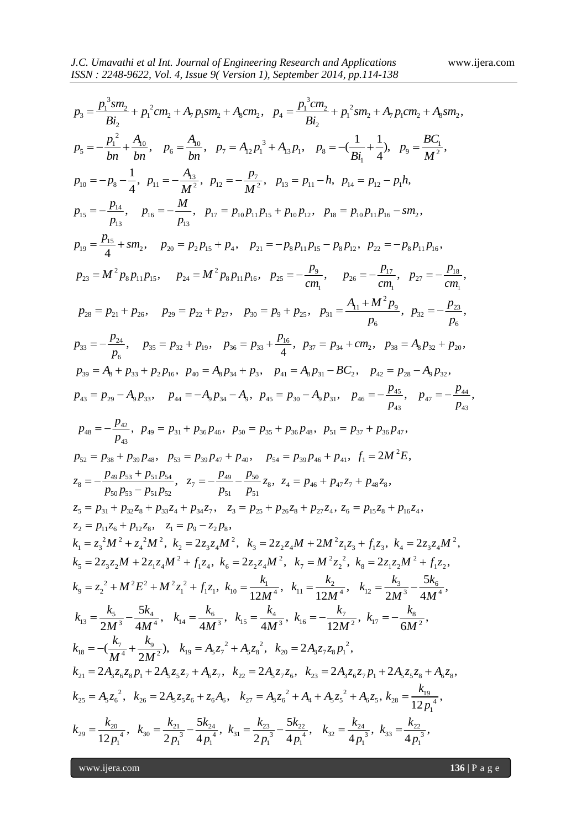J.C. Unawall i e al Int. Journal of Engineering Research and Applications  
\nISSN: 2248-9622, Vol. 4, Issue 9( Version 1). September 2014, pp.114-138  
\n
$$
p_3 = \frac{p_1^2sm_3}{Bi_1} + p_1^2cm_2 + A_pp_3m_2 + A_qcm_2, p_4 = \frac{p_1^3cm_3}{Bi_2} + p_1^2sm_2 + A_pp_3m_2 + A_3sm_2,
$$
\n
$$
p_5 = -\frac{p_1^3}{bh} + \frac{A_0}{bh}, p_6 = \frac{A_0}{bh}, p_7 = A_0p_1^3 + A_1p_1, p_8 = -(\frac{1}{Bi_1} + \frac{1}{4}), p_8 = \frac{BC_1}{M^2},
$$
\n
$$
p_0 = -p_8 - \frac{1}{4}, p_{11} = -\frac{A_3}{M^2}, p_{12} = -\frac{p_1}{M^2}, p_{13} = p_{11} - h, p_{14} = p_{12} - p_1h,
$$
\n
$$
p_{15} = -\frac{p_{14}}{f_1}, p_{16} = -\frac{M}{m^2}, p_{12} = p_2 - \frac{p_1}{M^2}, p_{13} = p_{11} - h, p_{14} = p_{12} - p_1h,
$$
\n
$$
p_{16} = -\frac{p_{13}}{f_1}, p_{16} = -\frac{M}{m^3}, p_{12} = p_2p_{13} + p_3p_{12}, p_{13} = p_{10}p_{11}p_{16} - m_1p_{15} - m_2p_{15},
$$
\n
$$
p_{19} = \frac{P_{13}}{4} + sm_1, p_{20} = p_2p_3 + p_4, p_{21} = -p_8p_{11}p_{15}, p_{19} = p_8p_{12}, p_{22} = -p_8p_{11}p_{16},
$$
\n
$$
p_{23} = M^2p_8p_{11}p_{15}, p_{24} = M^2p_8p_{11}p_{16}, p_{25} = -\frac{p_9}{cm_1}, p_{26} = -\frac{p_1}{cm_1}, p_{27} = -
$$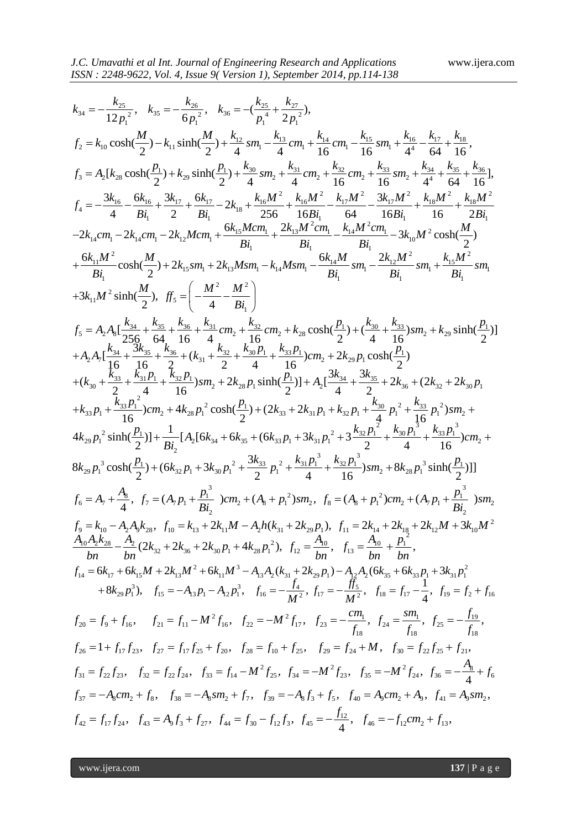$$
rac{ISSN : 2248-9622, Vol. 4, Isuse 9( Version 1). September 2014, pp.114-138
$$
\n
$$
k_{24} = -\frac{k_{25}}{12\mu_1^2}, \quad k_{35} = -\frac{k_{25}}{6\mu_1^3}, \quad k_{36} = -(\frac{k_{25}}{\mu_1^4} + \frac{k_{27}}{2\mu_1^2}),
$$
\n
$$
f_2 = k_{10} \cosh(\frac{M}{2}) - k_{11} \sinh(\frac{M}{2}) + \frac{k_{10}}{4} \sin \frac{M}{2} - \frac{k_{11}}{4} \cos \frac{M}{2} - \frac{k_{12}}{4} \sin \frac{M}{2} - \frac{k_{13}}{4} \sin \frac{M}{2} - \frac{k_{13}}{16} \cos \frac{M}{2} - \frac{k_{25}}{16} \cos \frac{M}{2} - \frac{k_{14}}{4} \sin \frac{M}{2} - \frac{k_{15}}{16} \sin \frac{M}{2} - \frac{k_{25}}{16} \sin \frac{M}{2} - \frac{k_{25}}{16} \sin \frac{M}{2} + \frac{k_{25}}{16} \cos \frac{M}{2} - \frac{k_{25}}{16} \sin \frac{M}{2} - \frac{k_{25}}{16} \sin \frac{M}{2} - \frac{M}{2} \sin \frac{M}{2} + \frac{k_{25}}{16} \sin \frac{M}{2} + \frac{k_{25}}{16} \sin \frac{M}{2} + \frac{k_{25}}{16} \sin \frac{M}{2} + \frac{k_{25}}{16} \sin \frac{M}{2} + \frac{k_{25}}{16} \sin \frac{M}{2} - \frac{M}{2} \sin \frac{M}{2} - 2k_{12} \cos \frac{M}{2} - 2k_{12} \sin \frac{M}{2} - 2k_{13} \sin \frac{M}{2} - 2k_{13} \sin \frac{M}{2} - 2k_{13} \sin \frac{M}{2} - 2k_{13} \sin \frac{M}{2} - 2k_{13} \sin \frac{M}{2} - 2k_{13} \sin \frac{M}{2} - 2k_{13} \sin \frac{M}{2} - 2k_{13
$$

www.ijera.com **137** | P a g e